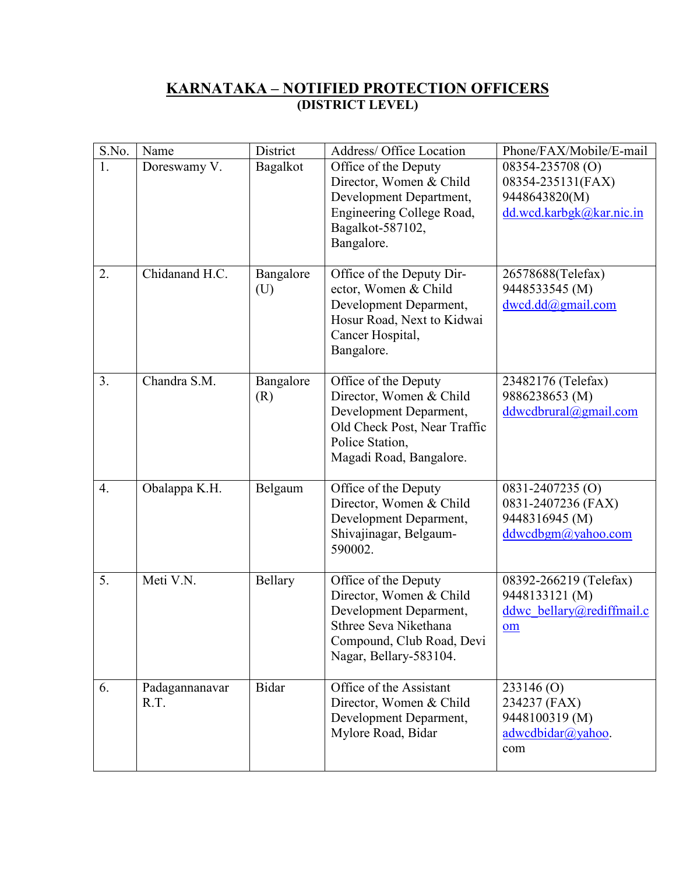# **KARNATAKA – NOTIFIED PROTECTION OFFICERS (DISTRICT LEVEL)**

| S.No.            | Name                   | District         | Address/ Office Location                                                                                                                                  | Phone/FAX/Mobile/E-mail                                                            |
|------------------|------------------------|------------------|-----------------------------------------------------------------------------------------------------------------------------------------------------------|------------------------------------------------------------------------------------|
| 1.               | Doreswamy V.           | Bagalkot         | Office of the Deputy<br>Director, Women & Child<br>Development Department,<br>Engineering College Road,<br>Bagalkot-587102,<br>Bangalore.                 | 08354-235708 (O)<br>08354-235131(FAX)<br>9448643820(M)<br>dd.wcd.karbgk@kar.nic.in |
| 2.               | Chidanand H.C.         | Bangalore<br>(U) | Office of the Deputy Dir-<br>ector, Women & Child<br>Development Deparment,<br>Hosur Road, Next to Kidwai<br>Cancer Hospital,<br>Bangalore.               | 26578688(Telefax)<br>9448533545 (M)<br>dwcd.dd@gmail.com                           |
| 3.               | Chandra S.M.           | Bangalore<br>(R) | Office of the Deputy<br>Director, Women & Child<br>Development Deparment,<br>Old Check Post, Near Traffic<br>Police Station,<br>Magadi Road, Bangalore.   | 23482176 (Telefax)<br>9886238653 (M)<br>ddwcdbrural@gmail.com                      |
| $\overline{4}$ . | Obalappa K.H.          | Belgaum          | Office of the Deputy<br>Director, Women & Child<br>Development Deparment,<br>Shivajinagar, Belgaum-<br>590002.                                            | $0831 - 2407235$ (O)<br>0831-2407236 (FAX)<br>9448316945 (M)<br>ddwcdbgm@yahoo.com |
| 5.               | Meti V.N.              | Bellary          | Office of the Deputy<br>Director, Women & Child<br>Development Deparment,<br>Sthree Seva Nikethana<br>Compound, Club Road, Devi<br>Nagar, Bellary-583104. | 08392-266219 (Telefax)<br>9448133121 (M)<br>ddwc bellary@rediffmail.c<br>om        |
| 6.               | Padagannanavar<br>R.T. | <b>Bidar</b>     | Office of the Assistant<br>Director, Women & Child<br>Development Deparment,<br>Mylore Road, Bidar                                                        | 233146(0)<br>234237 (FAX)<br>9448100319 (M)<br>$advcedbidar(a)$ yahoo.<br>com      |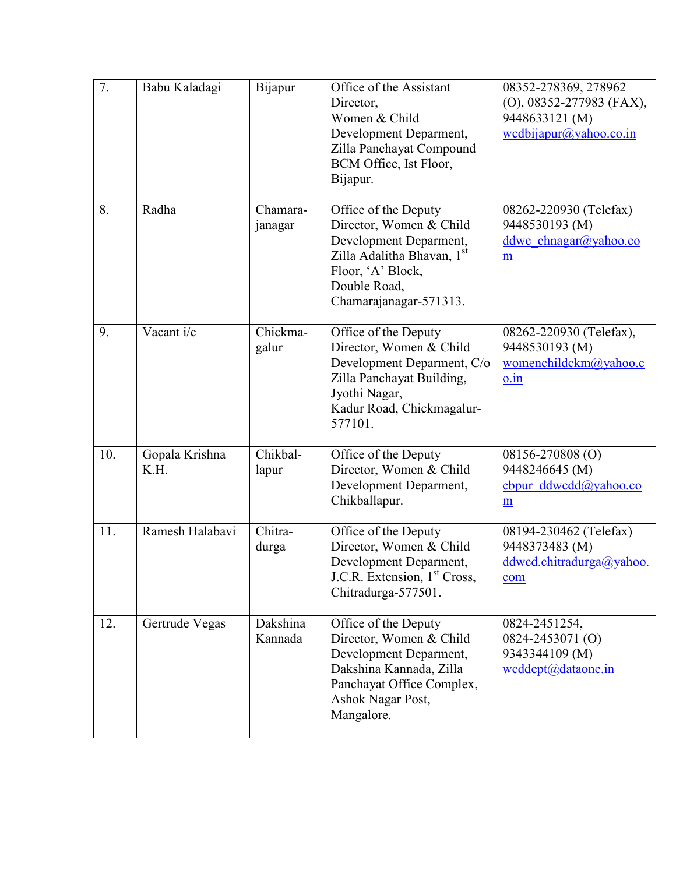| 7.  | Babu Kaladagi          | Bijapur             | Office of the Assistant<br>Director,<br>Women & Child<br>Development Deparment,<br>Zilla Panchayat Compound<br>BCM Office, Ist Floor,<br>Bijapur.                      | 08352-278369, 278962<br>(O), 08352-277983 (FAX),<br>9448633121 (M)<br>wcdbijapur@yahoo.co.in |
|-----|------------------------|---------------------|------------------------------------------------------------------------------------------------------------------------------------------------------------------------|----------------------------------------------------------------------------------------------|
| 8.  | Radha                  | Chamara-<br>janagar | Office of the Deputy<br>Director, Women & Child<br>Development Deparment,<br>Zilla Adalitha Bhavan, 1st<br>Floor, 'A' Block,<br>Double Road,<br>Chamarajanagar-571313. | 08262-220930 (Telefax)<br>9448530193 (M)<br>ddwc chnagar@yahoo.co<br>$\underline{m}$         |
| 9.  | Vacant i/c             | Chickma-<br>galur   | Office of the Deputy<br>Director, Women & Child<br>Development Deparment, C/o<br>Zilla Panchayat Building,<br>Jyothi Nagar,<br>Kadur Road, Chickmagalur-<br>577101.    | 08262-220930 (Telefax),<br>9448530193 (M)<br>womenchildckm@yahoo.c<br>$0.\dot{1}n$           |
| 10. | Gopala Krishna<br>K.H. | Chikbal-<br>lapur   | Office of the Deputy<br>Director, Women & Child<br>Development Deparment,<br>Chikballapur.                                                                             | 08156-270808 (O)<br>9448246645 (M)<br>cbpur $ddwcda(a)$ yahoo.co<br>m                        |
| 11. | Ramesh Halabavi        | Chitra-<br>durga    | Office of the Deputy<br>Director, Women & Child<br>Development Deparment,<br>J.C.R. Extension, 1 <sup>st</sup> Cross,<br>Chitradurga-577501.                           | 08194-230462 (Telefax)<br>9448373483 (M)<br>ddwcd.chitradurga@yahoo.<br>com                  |
| 12. | Gertrude Vegas         | Dakshina<br>Kannada | Office of the Deputy<br>Director, Women & Child<br>Development Deparment,<br>Dakshina Kannada, Zilla<br>Panchayat Office Complex,<br>Ashok Nagar Post,<br>Mangalore.   | 0824-2451254,<br>0824-2453071 (O)<br>9343344109 (M)<br>wcddept@dataone.in                    |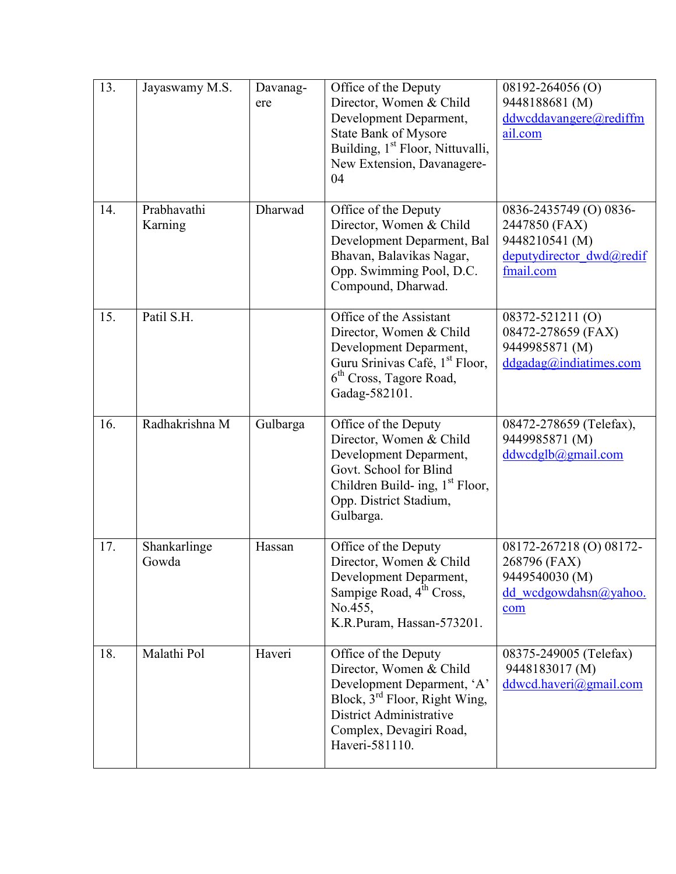| 13. | Jayaswamy M.S.         | Davanag-<br>ere | Office of the Deputy<br>Director, Women & Child<br>Development Deparment,<br><b>State Bank of Mysore</b><br>Building, 1 <sup>st</sup> Floor, Nittuvalli,<br>New Extension, Davanagere-<br>04              | 08192-264056 (O)<br>9448188681 (M)<br>ddwcddavangere@rediffm<br>ail.com                            |
|-----|------------------------|-----------------|-----------------------------------------------------------------------------------------------------------------------------------------------------------------------------------------------------------|----------------------------------------------------------------------------------------------------|
| 14. | Prabhavathi<br>Karning | Dharwad         | Office of the Deputy<br>Director, Women & Child<br>Development Deparment, Bal<br>Bhavan, Balavikas Nagar,<br>Opp. Swimming Pool, D.C.<br>Compound, Dharwad.                                               | 0836-2435749 (O) 0836-<br>2447850 (FAX)<br>9448210541 (M)<br>deputydirector dwd@redif<br>fmail.com |
| 15. | Patil S.H.             |                 | Office of the Assistant<br>Director, Women & Child<br>Development Deparment,<br>Guru Srinivas Café, 1 <sup>st</sup> Floor,<br>6 <sup>th</sup> Cross, Tagore Road,<br>Gadag-582101.                        | 08372-521211 (O)<br>08472-278659 (FAX)<br>9449985871 (M)<br>$d$ dgadag@indiatimes.com              |
| 16. | Radhakrishna M         | Gulbarga        | Office of the Deputy<br>Director, Women & Child<br>Development Deparment,<br>Govt. School for Blind<br>Children Build- ing, 1 <sup>st</sup> Floor,<br>Opp. District Stadium,<br>Gulbarga.                 | 08472-278659 (Telefax),<br>9449985871 (M)<br>ddwcdglb@gmail.com                                    |
| 17. | Shankarlinge<br>Gowda  | Hassan          | Office of the Deputy<br>Director, Women & Child<br>Development Deparment,<br>Sampige Road, 4 <sup>th</sup> Cross,<br>No.455,<br>K.R.Puram, Hassan-573201.                                                 | 08172-267218 (O) 08172-<br>268796 (FAX)<br>9449540030 (M)<br>dd wcdgowdahsn $\omega$ yahoo.<br>com |
| 18. | Malathi Pol            | Haveri          | Office of the Deputy<br>Director, Women & Child<br>Development Deparment, 'A'<br>Block, 3 <sup>rd</sup> Floor, Right Wing,<br><b>District Administrative</b><br>Complex, Devagiri Road,<br>Haveri-581110. | 08375-249005 (Telefax)<br>9448183017 (M)<br>ddwcd.haveri@gmail.com                                 |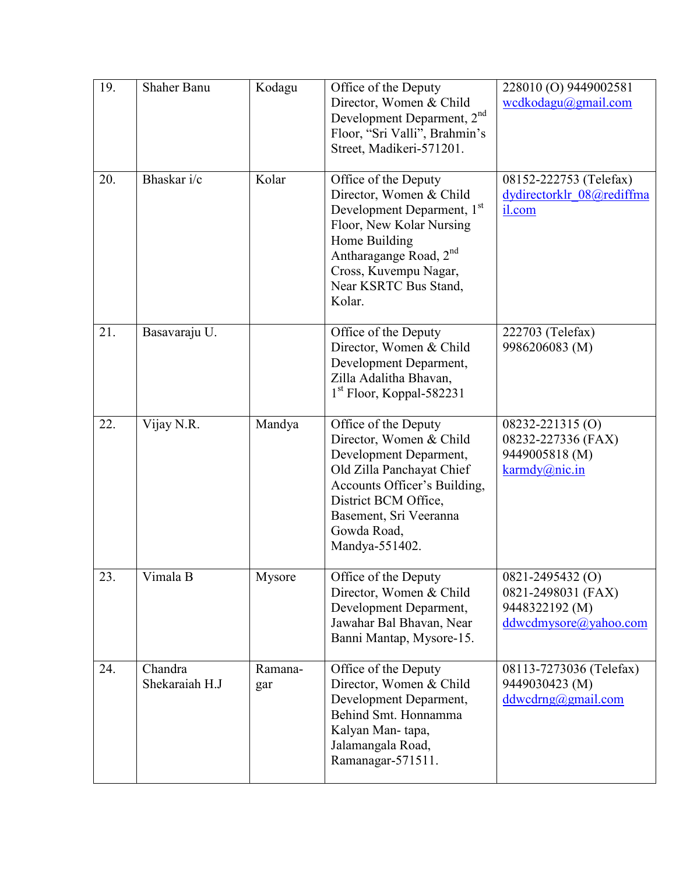| 19. | <b>Shaher Banu</b>        | Kodagu         | Office of the Deputy<br>Director, Women & Child<br>Development Deparment, 2 <sup>nd</sup><br>Floor, "Sri Valli", Brahmin's<br>Street, Madikeri-571201.                                                                                   | 228010 (O) 9449002581<br>wcdkodagu@gmail.com                                          |
|-----|---------------------------|----------------|------------------------------------------------------------------------------------------------------------------------------------------------------------------------------------------------------------------------------------------|---------------------------------------------------------------------------------------|
| 20. | Bhaskar i/c               | Kolar          | Office of the Deputy<br>Director, Women & Child<br>Development Deparment, 1 <sup>st</sup><br>Floor, New Kolar Nursing<br>Home Building<br>Antharagange Road, 2 <sup>nd</sup><br>Cross, Kuvempu Nagar,<br>Near KSRTC Bus Stand,<br>Kolar. | 08152-222753 (Telefax)<br>dydirectorklr 08@rediffma<br>il.com                         |
| 21. | Basavaraju U.             |                | Office of the Deputy<br>Director, Women & Child<br>Development Deparment,<br>Zilla Adalitha Bhavan,<br>1 <sup>st</sup> Floor, Koppal-582231                                                                                              | 222703 (Telefax)<br>9986206083 (M)                                                    |
| 22. | Vijay N.R.                | Mandya         | Office of the Deputy<br>Director, Women & Child<br>Development Deparment,<br>Old Zilla Panchayat Chief<br>Accounts Officer's Building,<br>District BCM Office,<br>Basement, Sri Veeranna<br>Gowda Road,<br>Mandya-551402.                | 08232-221315 (O)<br>08232-227336 (FAX)<br>9449005818 (M)<br>karmdy@nic.in             |
| 23. | Vimala B                  | Mysore         | Office of the Deputy<br>Director, Women & Child<br>Development Deparment,<br>Jawahar Bal Bhavan, Near<br>Banni Mantap, Mysore-15.                                                                                                        | $0821 - 2495432$ (O)<br>0821-2498031 (FAX)<br>9448322192 (M)<br>ddwcdmysore@yahoo.com |
| 24. | Chandra<br>Shekaraiah H.J | Ramana-<br>gar | Office of the Deputy<br>Director, Women & Child<br>Development Deparment,<br>Behind Smt. Honnamma<br>Kalyan Man-tapa,<br>Jalamangala Road,<br>Ramanagar-571511.                                                                          | 08113-7273036 (Telefax)<br>9449030423 (M)<br>ddwcdmg@gmail.com                        |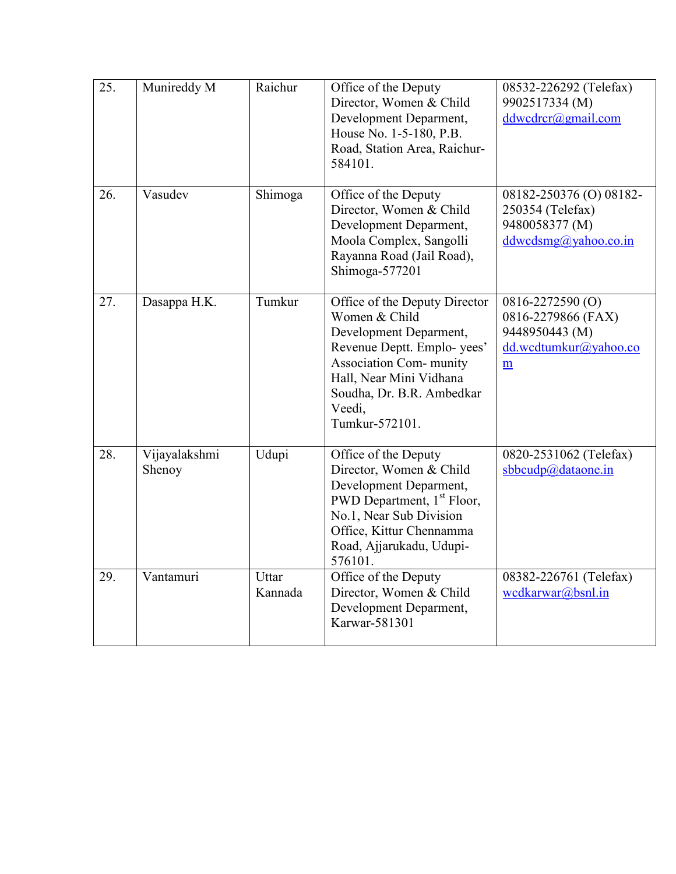| 25. | Munireddy M             | Raichur          | Office of the Deputy<br>Director, Women & Child<br>Development Deparment,<br>House No. 1-5-180, P.B.<br>Road, Station Area, Raichur-<br>584101.                                                                              | 08532-226292 (Telefax)<br>9902517334 (M)<br>ddwcdrca(gmail.com)                        |
|-----|-------------------------|------------------|------------------------------------------------------------------------------------------------------------------------------------------------------------------------------------------------------------------------------|----------------------------------------------------------------------------------------|
| 26. | Vasudev                 | Shimoga          | Office of the Deputy<br>Director, Women & Child<br>Development Deparment,<br>Moola Complex, Sangolli<br>Rayanna Road (Jail Road),<br>Shimoga-577201                                                                          | 08182-250376 (O) 08182-<br>250354 (Telefax)<br>9480058377 (M)<br>ddwcdsmg@yahoo.co.in  |
| 27. | Dasappa H.K.            | Tumkur           | Office of the Deputy Director<br>Women & Child<br>Development Deparment,<br>Revenue Deptt. Emplo-yees'<br><b>Association Com- munity</b><br>Hall, Near Mini Vidhana<br>Soudha, Dr. B.R. Ambedkar<br>Veedi,<br>Tumkur-572101. | 0816-2272590 (O)<br>0816-2279866 (FAX)<br>9448950443 (M)<br>dd.wcdtumkur@yahoo.co<br>m |
| 28. | Vijayalakshmi<br>Shenoy | Udupi            | Office of the Deputy<br>Director, Women & Child<br>Development Deparment,<br>PWD Department, 1 <sup>st</sup> Floor,<br>No.1, Near Sub Division<br>Office, Kittur Chennamma<br>Road, Ajjarukadu, Udupi-<br>576101.            | 0820-2531062 (Telefax)<br>sbbcudp@dataone.in                                           |
| 29. | Vantamuri               | Uttar<br>Kannada | Office of the Deputy<br>Director, Women & Child<br>Development Deparment,<br>Karwar-581301                                                                                                                                   | 08382-226761 (Telefax)<br>wcdkarwar@bsnl.in                                            |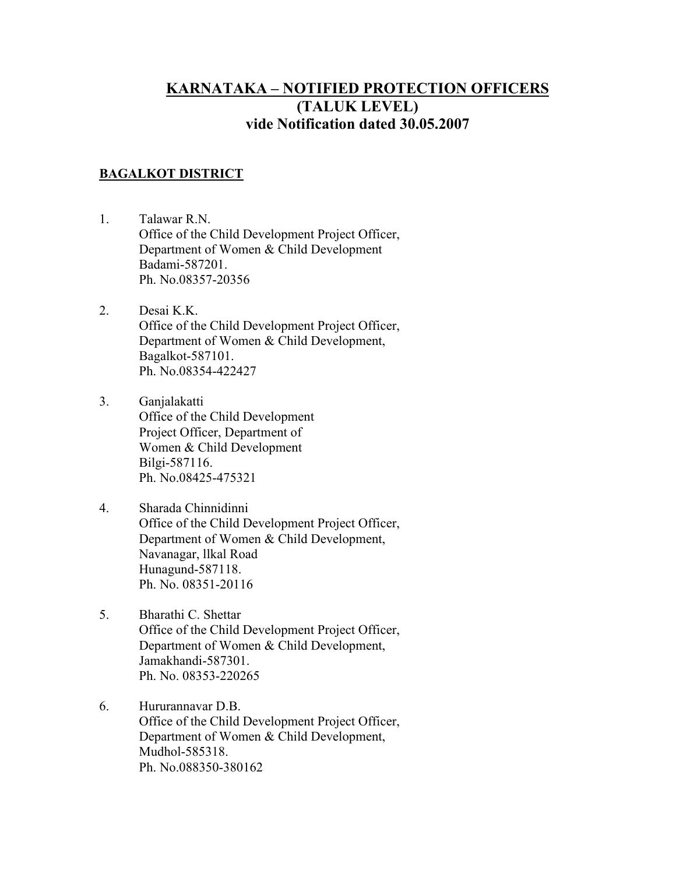# **KARNATAKA – NOTIFIED PROTECTION OFFICERS (TALUK LEVEL) vide Notification dated 30.05.2007**

# **BAGALKOT DISTRICT**

- 1. Talawar R.N. Office of the Child Development Project Officer, Department of Women & Child Development Badami-587201. Ph. No.08357-20356
- 2. Desai K.K. Office of the Child Development Project Officer, Department of Women & Child Development, Bagalkot-587101. Ph. No.08354-422427
- 3. Ganjalakatti Office of the Child Development Project Officer, Department of Women & Child Development Bilgi-587116. Ph. No.08425-475321
- 4. Sharada Chinnidinni Office of the Child Development Project Officer, Department of Women & Child Development, Navanagar, llkal Road Hunagund-587118. Ph. No. 08351-20116
- 5. Bharathi C. Shettar Office of the Child Development Project Officer, Department of Women & Child Development, Jamakhandi-587301. Ph. No. 08353-220265
- 6. Hururannavar D.B. Office of the Child Development Project Officer, Department of Women & Child Development, Mudhol-585318. Ph. No.088350-380162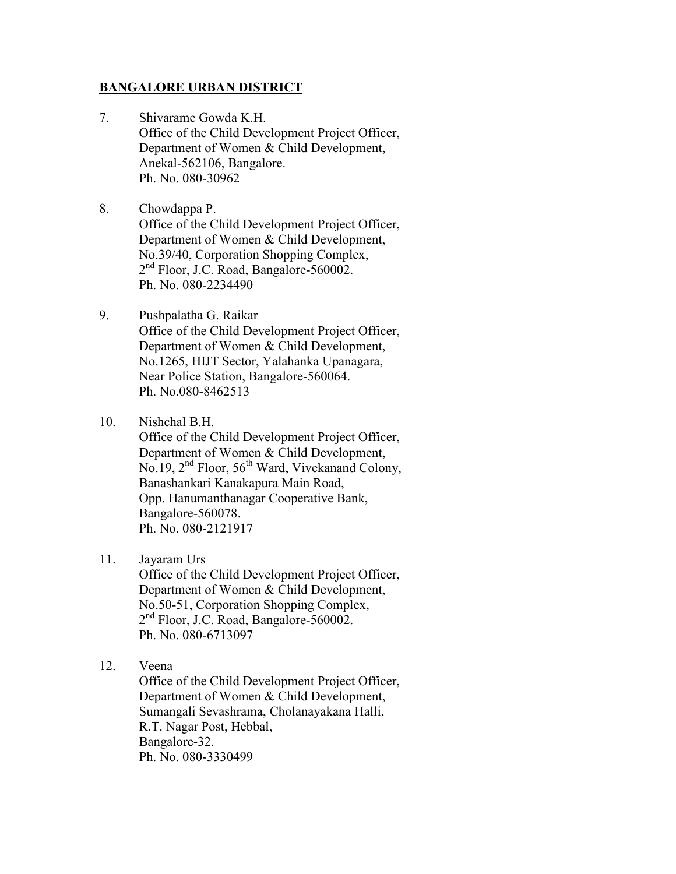#### **BANGALORE URBAN DISTRICT**

- 7. Shivarame Gowda K.H. Office of the Child Development Project Officer, Department of Women & Child Development, Anekal-562106, Bangalore. Ph. No. 080-30962
- 8. Chowdappa P. Office of the Child Development Project Officer, Department of Women & Child Development, No.39/40, Corporation Shopping Complex, 2 nd Floor, J.C. Road, Bangalore-560002. Ph. No. 080-2234490
- 9. Pushpalatha G. Raikar Office of the Child Development Project Officer, Department of Women & Child Development, No.1265, HIJT Sector, Yalahanka Upanagara, Near Police Station, Bangalore-560064. Ph. No.080-8462513
- 10. Nishchal B.H.

Office of the Child Development Project Officer, Department of Women & Child Development, No.19, 2<sup>nd</sup> Floor, 56<sup>th</sup> Ward, Vivekanand Colony, Banashankari Kanakapura Main Road, Opp. Hanumanthanagar Cooperative Bank, Bangalore-560078. Ph. No. 080-2121917

11. Jayaram Urs

Office of the Child Development Project Officer, Department of Women & Child Development, No.50-51, Corporation Shopping Complex, 2<sup>nd</sup> Floor, J.C. Road, Bangalore-560002. Ph. No. 080-6713097

12. Veena

Office of the Child Development Project Officer, Department of Women & Child Development, Sumangali Sevashrama, Cholanayakana Halli, R.T. Nagar Post, Hebbal, Bangalore-32. Ph. No. 080-3330499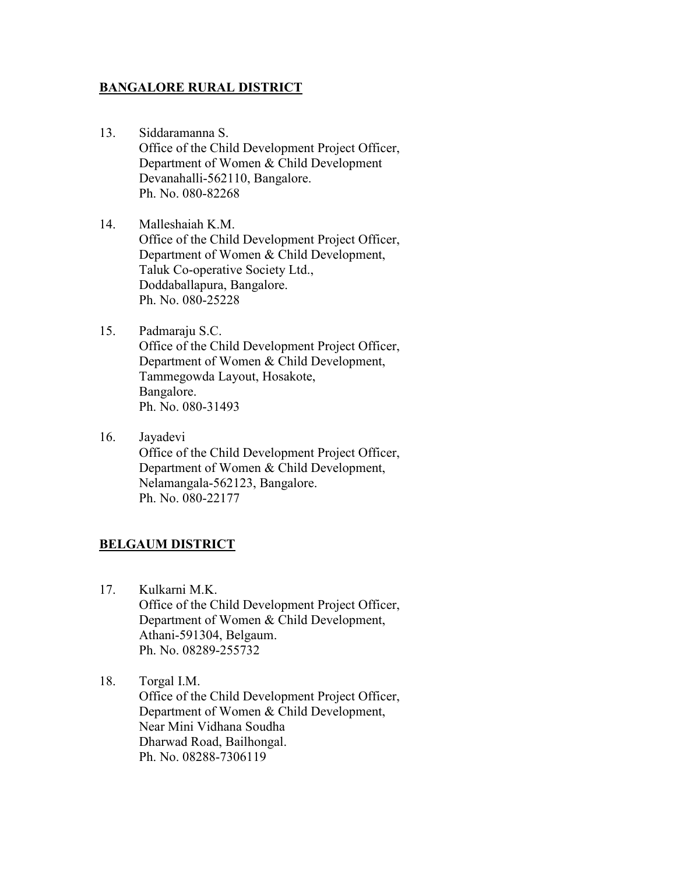#### **BANGALORE RURAL DISTRICT**

- 13. Siddaramanna S. Office of the Child Development Project Officer, Department of Women & Child Development Devanahalli-562110, Bangalore. Ph. No. 080-82268
- 14. Malleshaiah K.M. Office of the Child Development Project Officer, Department of Women & Child Development, Taluk Co-operative Society Ltd., Doddaballapura, Bangalore. Ph. No. 080-25228
- 15. Padmaraju S.C. Office of the Child Development Project Officer, Department of Women & Child Development, Tammegowda Layout, Hosakote, Bangalore. Ph. No. 080-31493
- 16. Jayadevi Office of the Child Development Project Officer, Department of Women & Child Development, Nelamangala-562123, Bangalore. Ph. No. 080-22177

# **BELGAUM DISTRICT**

- 17. Kulkarni M.K. Office of the Child Development Project Officer, Department of Women & Child Development, Athani-591304, Belgaum. Ph. No. 08289-255732
- 18. Torgal I.M. Office of the Child Development Project Officer, Department of Women & Child Development, Near Mini Vidhana Soudha Dharwad Road, Bailhongal. Ph. No. 08288-7306119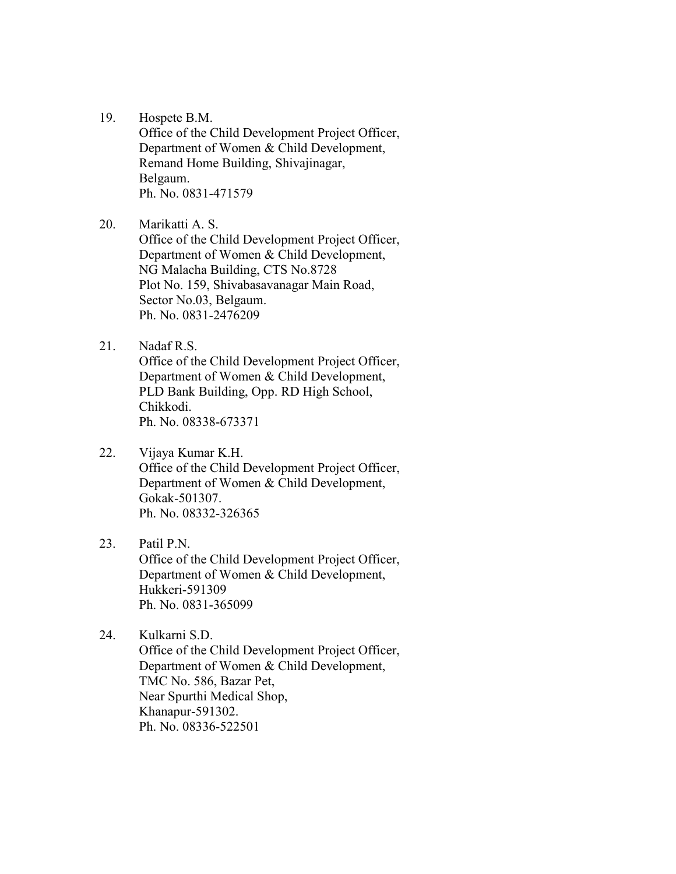19. Hospete B.M.

Office of the Child Development Project Officer, Department of Women & Child Development, Remand Home Building, Shivajinagar, Belgaum. Ph. No. 0831-471579

20. Marikatti A. S.

Office of the Child Development Project Officer, Department of Women & Child Development, NG Malacha Building, CTS No.8728 Plot No. 159, Shivabasavanagar Main Road, Sector No.03, Belgaum. Ph. No. 0831-2476209

21. Nadaf R.S.

Office of the Child Development Project Officer, Department of Women & Child Development, PLD Bank Building, Opp. RD High School, Chikkodi. Ph. No. 08338-673371

22. Vijaya Kumar K.H.

Office of the Child Development Project Officer, Department of Women & Child Development, Gokak-501307. Ph. No. 08332-326365

23. Patil P.N. Office of the Child Development Project Officer, Department of Women & Child Development, Hukkeri-591309 Ph. No. 0831-365099

24. Kulkarni S.D. Office of the Child Development Project Officer, Department of Women & Child Development, TMC No. 586, Bazar Pet, Near Spurthi Medical Shop, Khanapur-591302. Ph. No. 08336-522501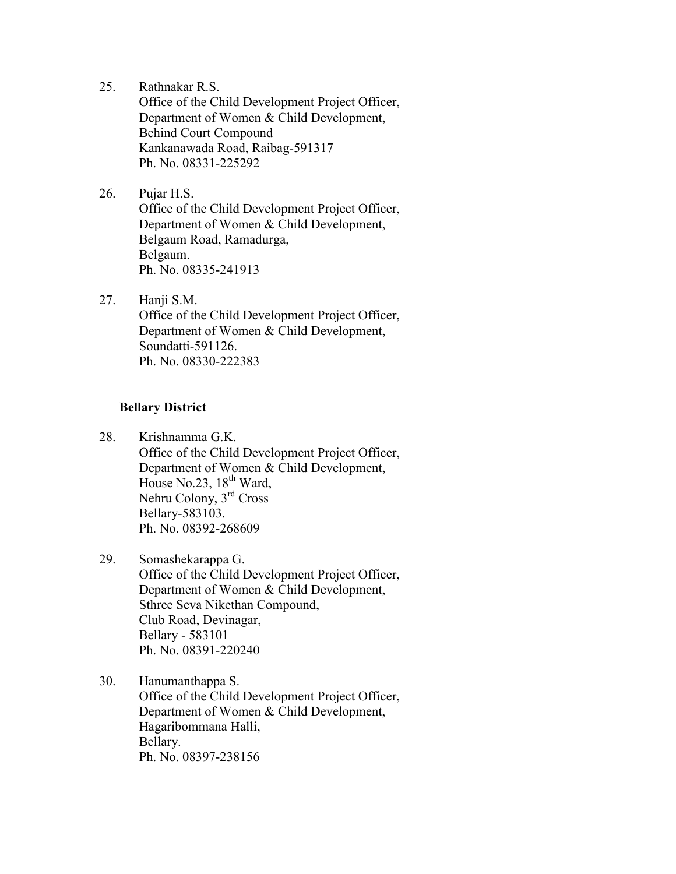25. Rathnakar R.S.

Office of the Child Development Project Officer, Department of Women & Child Development, Behind Court Compound Kankanawada Road, Raibag-591317 Ph. No. 08331-225292

26. Pujar H.S.

Office of the Child Development Project Officer, Department of Women & Child Development, Belgaum Road, Ramadurga, Belgaum. Ph. No. 08335-241913

27. Hanji S.M.

Office of the Child Development Project Officer, Department of Women & Child Development, Soundatti-591126. Ph. No. 08330-222383

#### **Bellary District**

- 28. Krishnamma G.K. Office of the Child Development Project Officer, Department of Women & Child Development, House No.23,  $18^{th}$  Ward, Nehru Colony, 3rd Cross Bellary-583103. Ph. No. 08392-268609
- 29. Somashekarappa G. Office of the Child Development Project Officer, Department of Women & Child Development, Sthree Seva Nikethan Compound, Club Road, Devinagar, Bellary - 583101 Ph. No. 08391-220240
- 30. Hanumanthappa S. Office of the Child Development Project Officer, Department of Women & Child Development, Hagaribommana Halli, Bellary. Ph. No. 08397-238156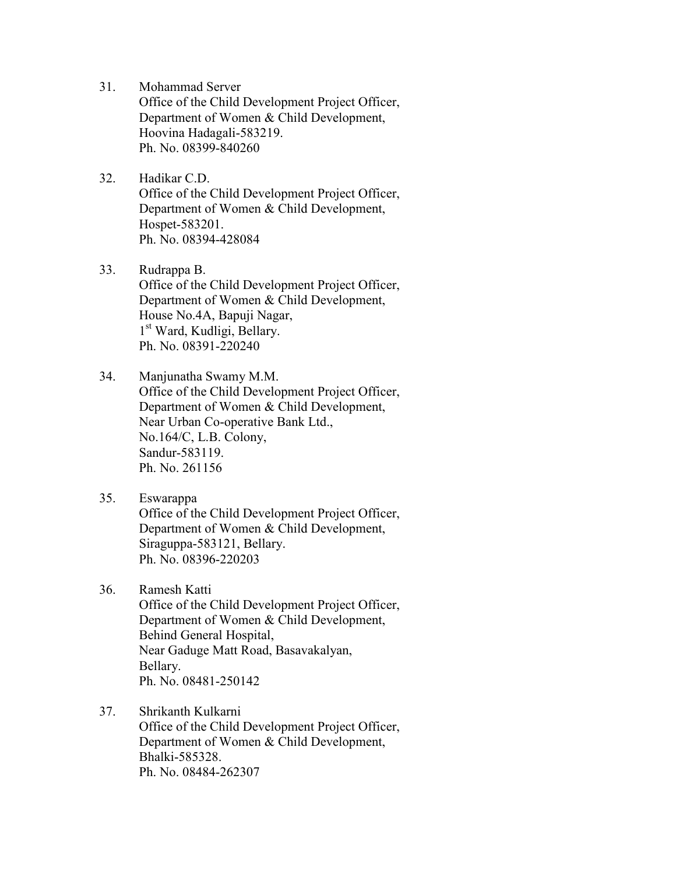- 31. Mohammad Server Office of the Child Development Project Officer, Department of Women & Child Development, Hoovina Hadagali-583219. Ph. No. 08399-840260
- 32. Hadikar C.D. Office of the Child Development Project Officer, Department of Women & Child Development, Hospet-583201. Ph. No. 08394-428084
- 33. Rudrappa B. Office of the Child Development Project Officer, Department of Women & Child Development, House No.4A, Bapuji Nagar, 1 st Ward, Kudligi, Bellary. Ph. No. 08391-220240
- 34. Manjunatha Swamy M.M. Office of the Child Development Project Officer, Department of Women & Child Development, Near Urban Co-operative Bank Ltd., No.164/C, L.B. Colony, Sandur-583119. Ph. No. 261156
- 35. Eswarappa Office of the Child Development Project Officer, Department of Women & Child Development, Siraguppa-583121, Bellary. Ph. No. 08396-220203
- 36. Ramesh Katti

Office of the Child Development Project Officer, Department of Women & Child Development, Behind General Hospital, Near Gaduge Matt Road, Basavakalyan, Bellary. Ph. No. 08481-250142

37. Shrikanth Kulkarni

Office of the Child Development Project Officer, Department of Women & Child Development, Bhalki-585328. Ph. No. 08484-262307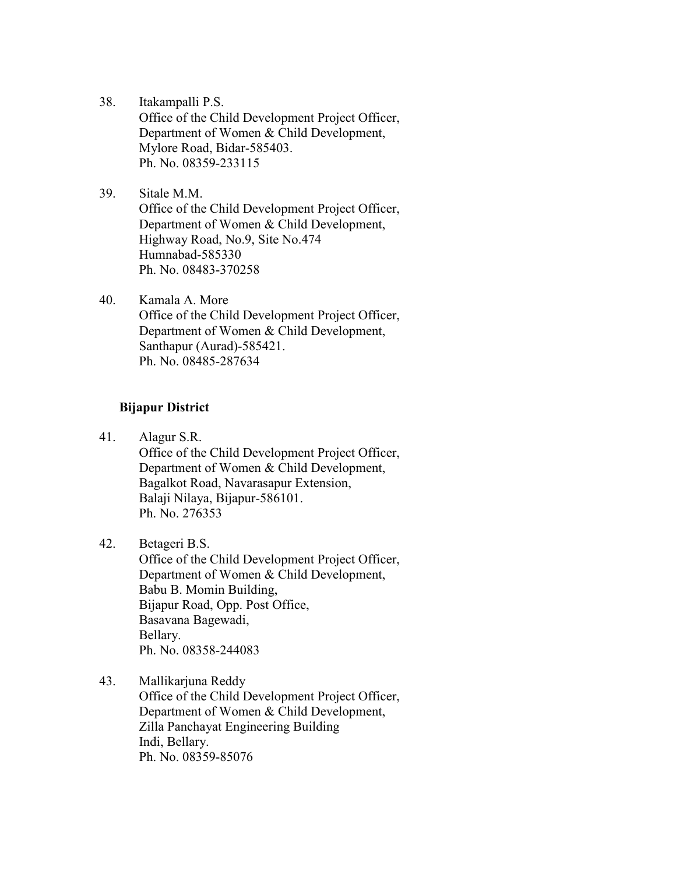- 38. Itakampalli P.S. Office of the Child Development Project Officer, Department of Women & Child Development, Mylore Road, Bidar-585403. Ph. No. 08359-233115
- 39. Sitale M.M. Office of the Child Development Project Officer, Department of Women & Child Development, Highway Road, No.9, Site No.474 Humnabad-585330 Ph. No. 08483-370258
- 40. Kamala A. More Office of the Child Development Project Officer, Department of Women & Child Development, Santhapur (Aurad)-585421. Ph. No. 08485-287634

#### **Bijapur District**

41. Alagur S.R. Office of the Child Development Project Officer, Department of Women & Child Development, Bagalkot Road, Navarasapur Extension, Balaji Nilaya, Bijapur-586101. Ph. No. 276353

42. Betageri B.S. Office of the Child Development Project Officer, Department of Women & Child Development, Babu B. Momin Building, Bijapur Road, Opp. Post Office, Basavana Bagewadi, Bellary. Ph. No. 08358-244083

43. Mallikarjuna Reddy Office of the Child Development Project Officer, Department of Women & Child Development, Zilla Panchayat Engineering Building Indi, Bellary. Ph. No. 08359-85076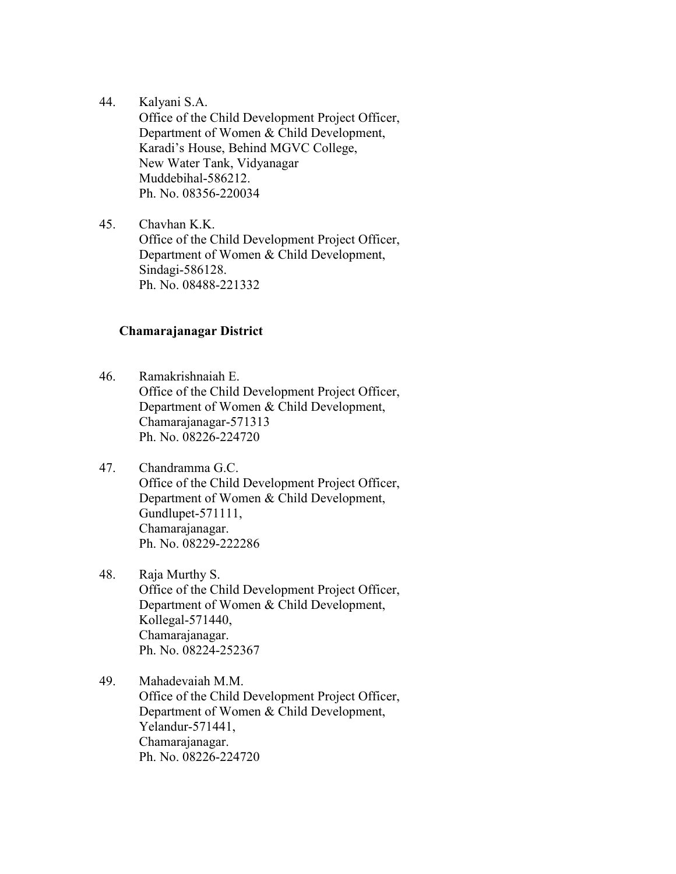44. Kalyani S.A.

Office of the Child Development Project Officer, Department of Women & Child Development, Karadi's House, Behind MGVC College, New Water Tank, Vidyanagar Muddebihal-586212. Ph. No. 08356-220034

45. Chavhan K.K. Office of the Child Development Project Officer, Department of Women & Child Development, Sindagi-586128. Ph. No. 08488-221332

#### **Chamarajanagar District**

- 46. Ramakrishnaiah E. Office of the Child Development Project Officer, Department of Women & Child Development, Chamarajanagar-571313 Ph. No. 08226-224720
- 47. Chandramma G.C. Office of the Child Development Project Officer, Department of Women & Child Development, Gundlupet-571111, Chamarajanagar. Ph. No. 08229-222286
- 48. Raja Murthy S. Office of the Child Development Project Officer, Department of Women & Child Development, Kollegal-571440, Chamarajanagar. Ph. No. 08224-252367
- 49. Mahadevaiah M.M. Office of the Child Development Project Officer, Department of Women & Child Development, Yelandur-571441, Chamarajanagar. Ph. No. 08226-224720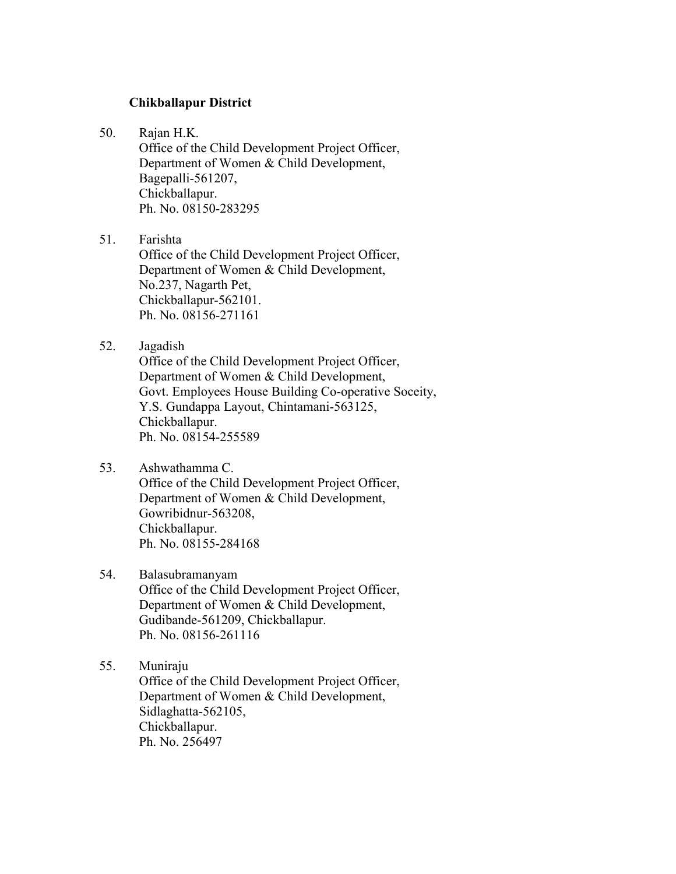#### **Chikballapur District**

50. Rajan H.K.

Office of the Child Development Project Officer, Department of Women & Child Development, Bagepalli-561207, Chickballapur. Ph. No. 08150-283295

51. Farishta

Office of the Child Development Project Officer, Department of Women & Child Development, No.237, Nagarth Pet, Chickballapur-562101. Ph. No. 08156-271161

52. Jagadish

Office of the Child Development Project Officer, Department of Women & Child Development, Govt. Employees House Building Co-operative Soceity, Y.S. Gundappa Layout, Chintamani-563125, Chickballapur. Ph. No. 08154-255589

53. Ashwathamma C.

Office of the Child Development Project Officer, Department of Women & Child Development, Gowribidnur-563208, Chickballapur. Ph. No. 08155-284168

54. Balasubramanyam

Office of the Child Development Project Officer, Department of Women & Child Development, Gudibande-561209, Chickballapur. Ph. No. 08156-261116

55. Muniraju Office of the Child Development Project Officer, Department of Women & Child Development, Sidlaghatta-562105, Chickballapur. Ph. No. 256497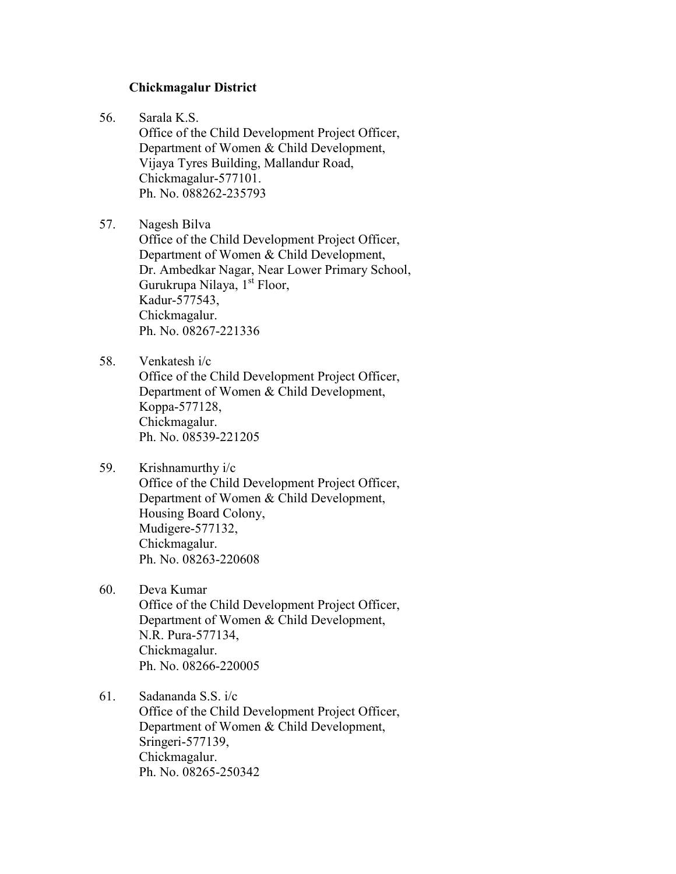#### **Chickmagalur District**

56. Sarala K.S.

Office of the Child Development Project Officer, Department of Women & Child Development, Vijaya Tyres Building, Mallandur Road, Chickmagalur-577101. Ph. No. 088262-235793

57. Nagesh Bilva Office of the Child Development Project Officer, Department of Women & Child Development, Dr. Ambedkar Nagar, Near Lower Primary School, Gurukrupa Nilaya,  $1<sup>st</sup>$  Floor, Kadur-577543, Chickmagalur. Ph. No. 08267-221336

- 58. Venkatesh i/c Office of the Child Development Project Officer, Department of Women & Child Development, Koppa-577128, Chickmagalur. Ph. No. 08539-221205
- 59. Krishnamurthy i/c Office of the Child Development Project Officer, Department of Women & Child Development, Housing Board Colony, Mudigere-577132, Chickmagalur. Ph. No. 08263-220608
- 60. Deva Kumar Office of the Child Development Project Officer,

Department of Women & Child Development, N.R. Pura-577134, Chickmagalur. Ph. No. 08266-220005

61. Sadananda S.S. i/c

Office of the Child Development Project Officer, Department of Women & Child Development, Sringeri-577139, Chickmagalur. Ph. No. 08265-250342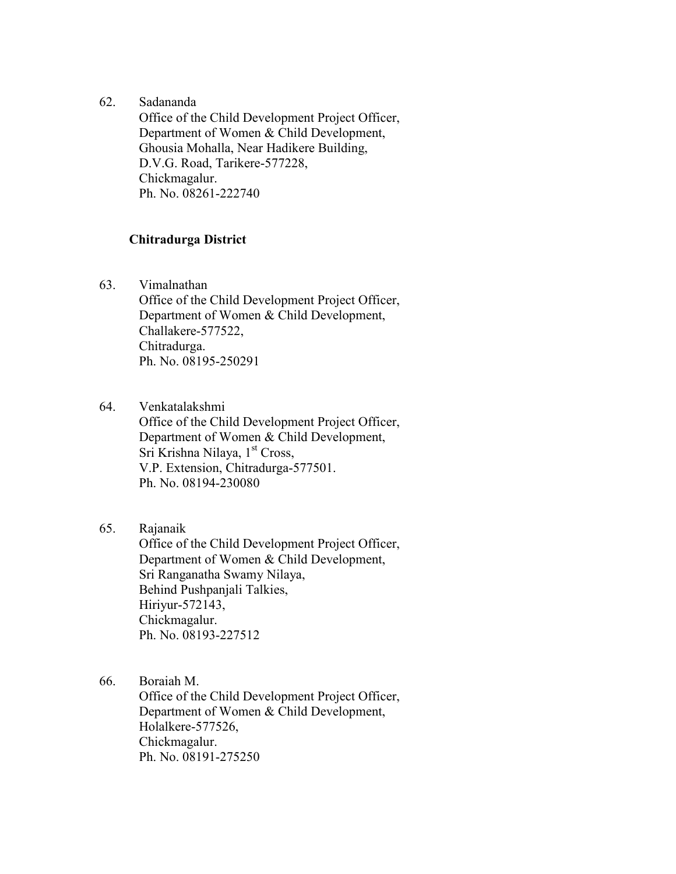62. Sadananda

Office of the Child Development Project Officer, Department of Women & Child Development, Ghousia Mohalla, Near Hadikere Building, D.V.G. Road, Tarikere-577228, Chickmagalur. Ph. No. 08261-222740

#### **Chitradurga District**

63. Vimalnathan

Office of the Child Development Project Officer, Department of Women & Child Development, Challakere-577522, Chitradurga. Ph. No. 08195-250291

64. Venkatalakshmi

Office of the Child Development Project Officer, Department of Women & Child Development, Sri Krishna Nilaya,  $1<sup>st</sup> Cross$ , V.P. Extension, Chitradurga-577501. Ph. No. 08194-230080

# 65. Rajanaik

Office of the Child Development Project Officer, Department of Women & Child Development, Sri Ranganatha Swamy Nilaya, Behind Pushpanjali Talkies, Hiriyur-572143, Chickmagalur. Ph. No. 08193-227512

66. Boraiah M.

Office of the Child Development Project Officer, Department of Women & Child Development, Holalkere-577526, Chickmagalur. Ph. No. 08191-275250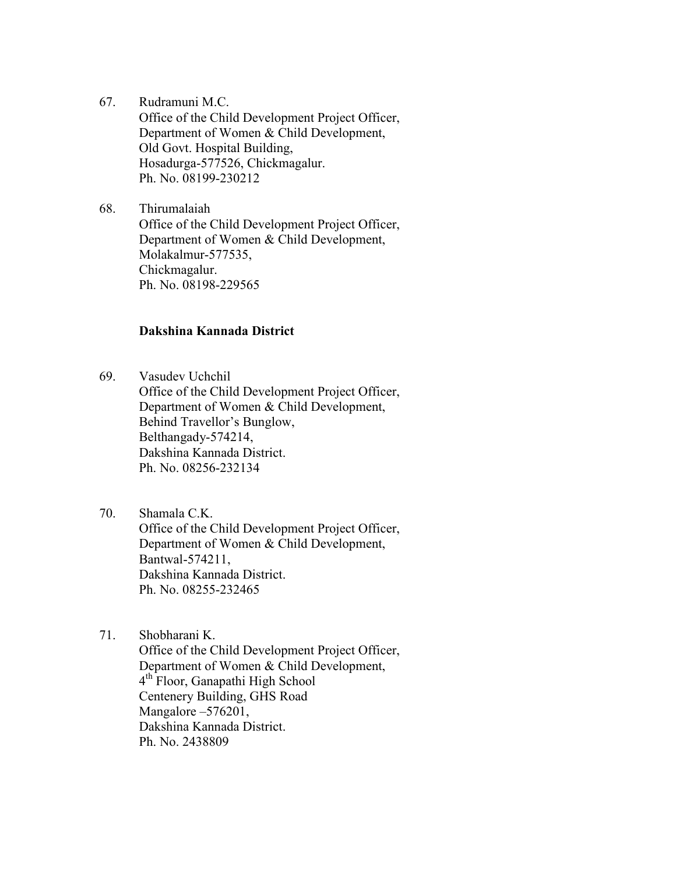67. Rudramuni M.C.

Office of the Child Development Project Officer, Department of Women & Child Development, Old Govt. Hospital Building, Hosadurga-577526, Chickmagalur. Ph. No. 08199-230212

68. Thirumalaiah Office of the Child Development Project Officer, Department of Women & Child Development, Molakalmur-577535, Chickmagalur. Ph. No. 08198-229565

### **Dakshina Kannada District**

69. Vasudev Uchchil Office of the Child Development Project Officer, Department of Women & Child Development, Behind Travellor's Bunglow, Belthangady-574214, Dakshina Kannada District. Ph. No. 08256-232134

- 70. Shamala C.K. Office of the Child Development Project Officer, Department of Women & Child Development, Bantwal-574211, Dakshina Kannada District. Ph. No. 08255-232465
- 71. Shobharani K. Office of the Child Development Project Officer, Department of Women & Child Development, 4th Floor, Ganapathi High School Centenery Building, GHS Road Mangalore – 576201, Dakshina Kannada District. Ph. No. 2438809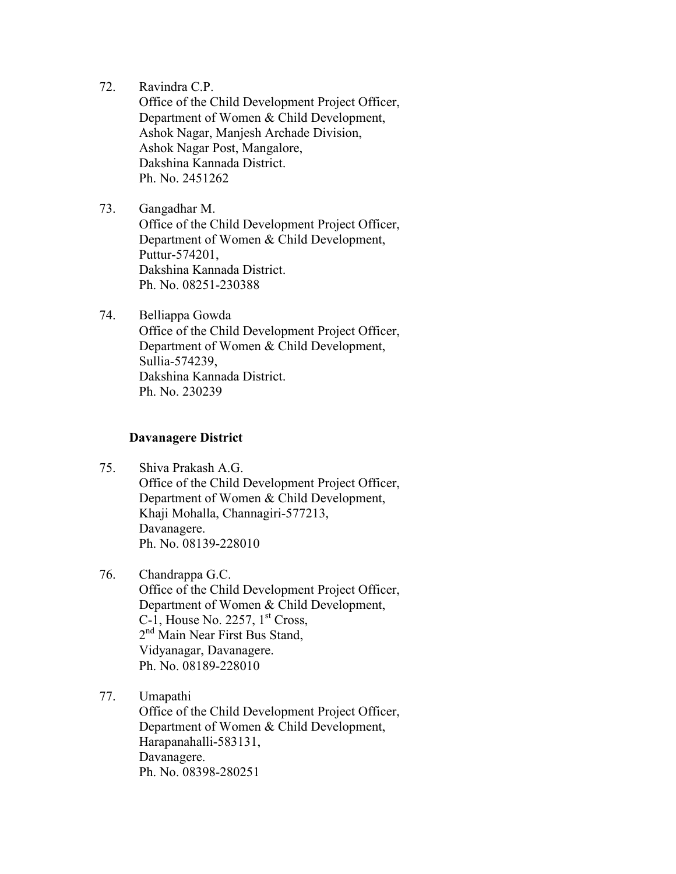72. Ravindra C.P.

Office of the Child Development Project Officer, Department of Women & Child Development, Ashok Nagar, Manjesh Archade Division, Ashok Nagar Post, Mangalore, Dakshina Kannada District. Ph. No. 2451262

- 73. Gangadhar M. Office of the Child Development Project Officer, Department of Women & Child Development, Puttur-574201, Dakshina Kannada District. Ph. No. 08251-230388
- 74. Belliappa Gowda Office of the Child Development Project Officer, Department of Women & Child Development, Sullia-574239, Dakshina Kannada District. Ph. No. 230239

#### **Davanagere District**

- 75. Shiva Prakash A.G. Office of the Child Development Project Officer, Department of Women & Child Development, Khaji Mohalla, Channagiri-577213, Davanagere. Ph. No. 08139-228010
- 76. Chandrappa G.C. Office of the Child Development Project Officer, Department of Women & Child Development, C-1, House No. 2257,  $1<sup>st</sup> Cross$ , 2<sup>nd</sup> Main Near First Bus Stand, Vidyanagar, Davanagere. Ph. No. 08189-228010
- 77. Umapathi

Office of the Child Development Project Officer, Department of Women & Child Development, Harapanahalli-583131, Davanagere. Ph. No. 08398-280251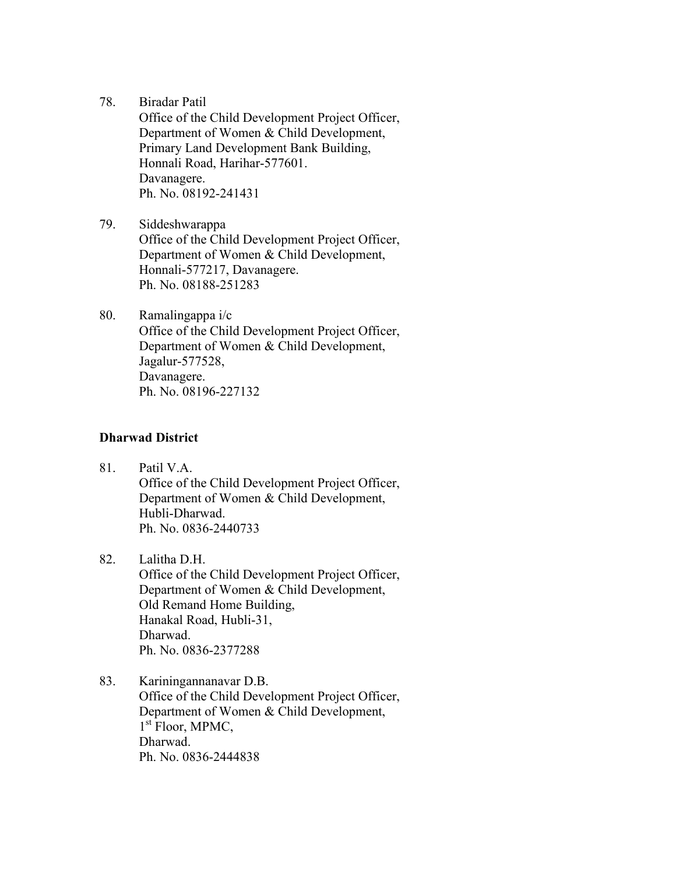78. Biradar Patil

Office of the Child Development Project Officer, Department of Women & Child Development, Primary Land Development Bank Building, Honnali Road, Harihar-577601. Davanagere. Ph. No. 08192-241431

- 79. Siddeshwarappa Office of the Child Development Project Officer, Department of Women & Child Development, Honnali-577217, Davanagere. Ph. No. 08188-251283
- 80. Ramalingappa i/c Office of the Child Development Project Officer, Department of Women & Child Development, Jagalur-577528, Davanagere. Ph. No. 08196-227132

# **Dharwad District**

- 81. Patil V.A. Office of the Child Development Project Officer, Department of Women & Child Development, Hubli-Dharwad. Ph. No. 0836-2440733
- 82. Lalitha D.H. Office of the Child Development Project Officer, Department of Women & Child Development, Old Remand Home Building, Hanakal Road, Hubli-31, Dharwad. Ph. No. 0836-2377288
- 83. Kariningannanavar D.B. Office of the Child Development Project Officer, Department of Women & Child Development, 1<sup>st</sup> Floor, MPMC, Dharwad. Ph. No. 0836-2444838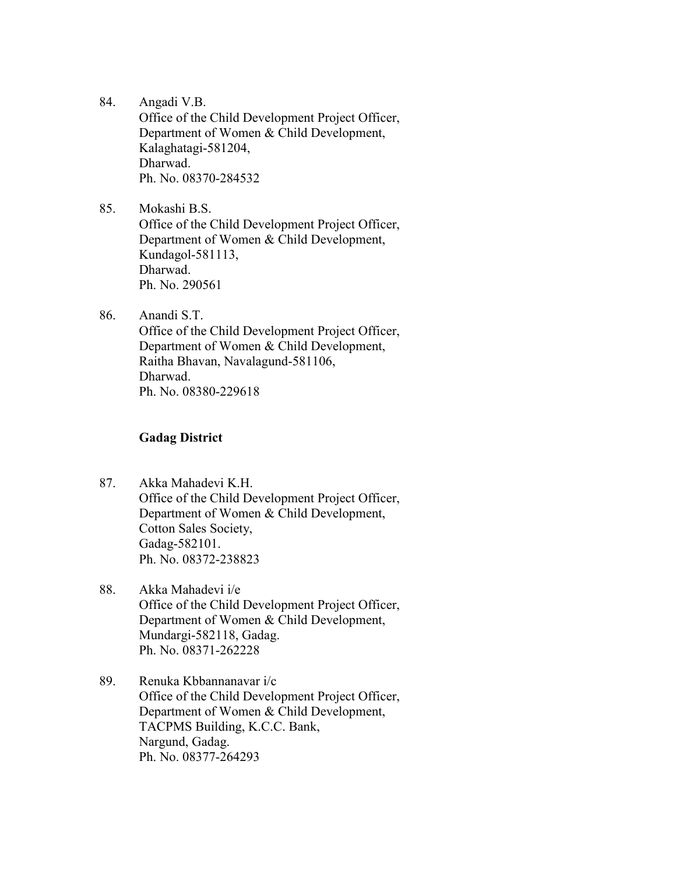- 84. Angadi V.B. Office of the Child Development Project Officer, Department of Women & Child Development, Kalaghatagi-581204, Dharwad. Ph. No. 08370-284532
- 85. Mokashi B.S. Office of the Child Development Project Officer, Department of Women & Child Development, Kundagol-581113, Dharwad. Ph. No. 290561
- 86. Anandi S.T. Office of the Child Development Project Officer, Department of Women & Child Development, Raitha Bhavan, Navalagund-581106, Dharwad. Ph. No. 08380-229618

#### **Gadag District**

- 87. Akka Mahadevi K.H. Office of the Child Development Project Officer, Department of Women & Child Development, Cotton Sales Society, Gadag-582101. Ph. No. 08372-238823
- 88. Akka Mahadevi i/e Office of the Child Development Project Officer, Department of Women & Child Development, Mundargi-582118, Gadag. Ph. No. 08371-262228
- 89. Renuka Kbbannanavar i/c Office of the Child Development Project Officer, Department of Women & Child Development, TACPMS Building, K.C.C. Bank, Nargund, Gadag. Ph. No. 08377-264293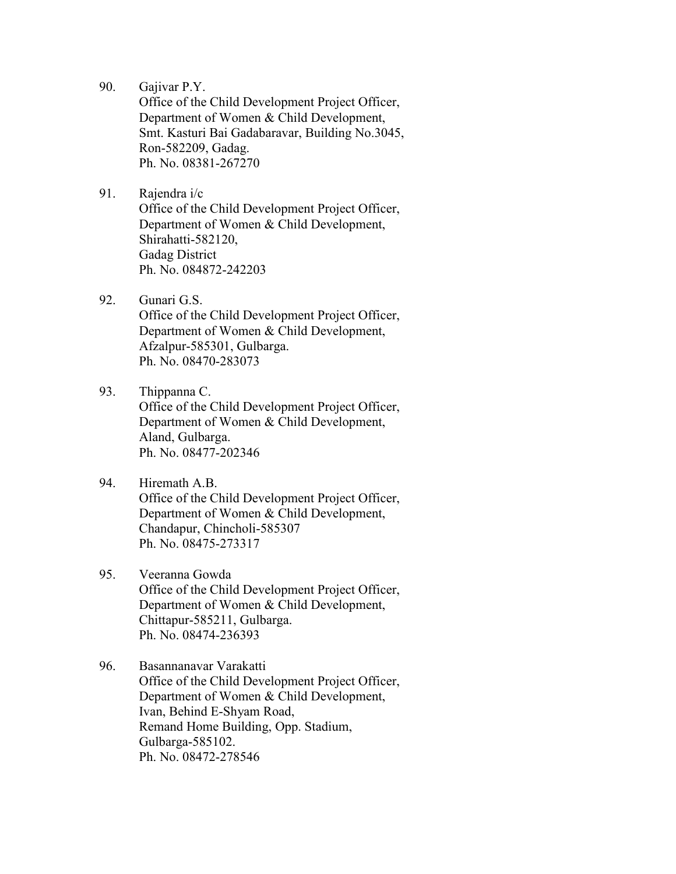90. Gajivar P.Y.

Office of the Child Development Project Officer, Department of Women & Child Development, Smt. Kasturi Bai Gadabaravar, Building No.3045, Ron-582209, Gadag. Ph. No. 08381-267270

- 91. Rajendra i/c Office of the Child Development Project Officer, Department of Women & Child Development, Shirahatti-582120, Gadag District Ph. No. 084872-242203
- 92. Gunari G.S. Office of the Child Development Project Officer, Department of Women & Child Development, Afzalpur-585301, Gulbarga. Ph. No. 08470-283073
- 93. Thippanna C. Office of the Child Development Project Officer, Department of Women & Child Development, Aland, Gulbarga. Ph. No. 08477-202346
- 94. Hiremath A.B. Office of the Child Development Project Officer, Department of Women & Child Development, Chandapur, Chincholi-585307 Ph. No. 08475-273317
- 95. Veeranna Gowda Office of the Child Development Project Officer, Department of Women & Child Development, Chittapur-585211, Gulbarga. Ph. No. 08474-236393
- 96. Basannanavar Varakatti Office of the Child Development Project Officer, Department of Women & Child Development, Ivan, Behind E-Shyam Road, Remand Home Building, Opp. Stadium, Gulbarga-585102. Ph. No. 08472-278546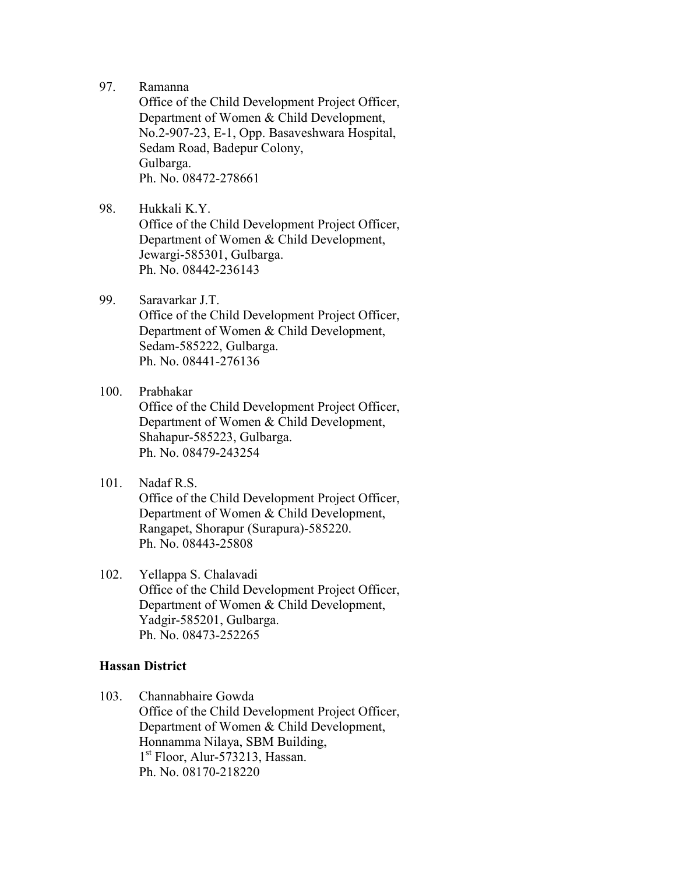97. Ramanna

Office of the Child Development Project Officer, Department of Women & Child Development, No.2-907-23, E-1, Opp. Basaveshwara Hospital, Sedam Road, Badepur Colony, Gulbarga. Ph. No. 08472-278661

- 98. Hukkali K.Y. Office of the Child Development Project Officer, Department of Women & Child Development, Jewargi-585301, Gulbarga. Ph. No. 08442-236143
- 99. Saravarkar J.T. Office of the Child Development Project Officer, Department of Women & Child Development, Sedam-585222, Gulbarga. Ph. No. 08441-276136
- 100. Prabhakar Office of the Child Development Project Officer, Department of Women & Child Development, Shahapur-585223, Gulbarga. Ph. No. 08479-243254
- 101. Nadaf R.S. Office of the Child Development Project Officer, Department of Women & Child Development, Rangapet, Shorapur (Surapura)-585220. Ph. No. 08443-25808
- 102. Yellappa S. Chalavadi Office of the Child Development Project Officer, Department of Women & Child Development, Yadgir-585201, Gulbarga. Ph. No. 08473-252265

#### **Hassan District**

103. Channabhaire Gowda

Office of the Child Development Project Officer, Department of Women & Child Development, Honnamma Nilaya, SBM Building, 1 st Floor, Alur-573213, Hassan. Ph. No. 08170-218220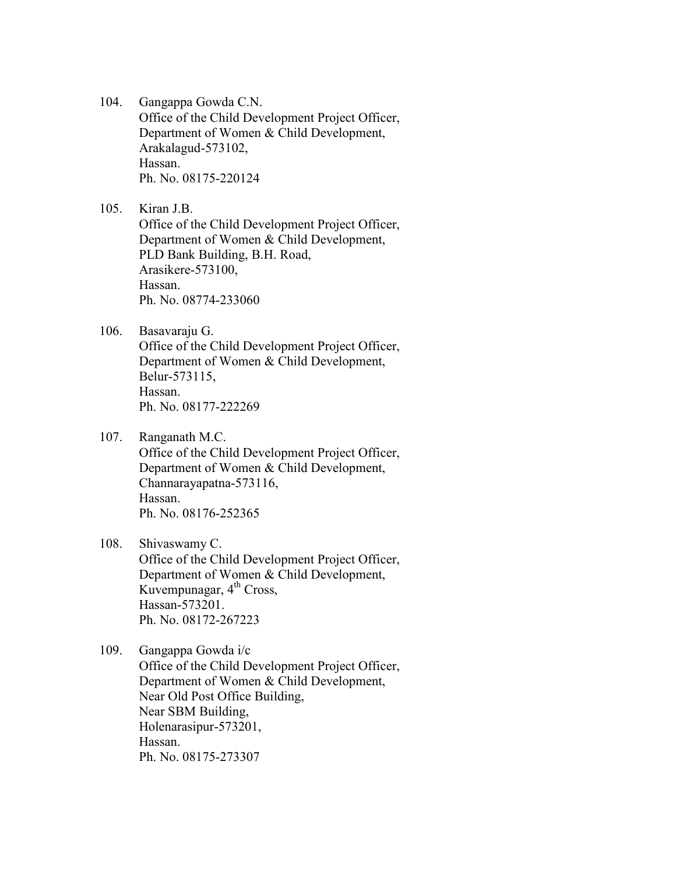- 104. Gangappa Gowda C.N. Office of the Child Development Project Officer, Department of Women & Child Development, Arakalagud-573102, Hassan. Ph. No. 08175-220124
- 105. Kiran J.B.

Office of the Child Development Project Officer, Department of Women & Child Development, PLD Bank Building, B.H. Road, Arasikere-573100, Hassan. Ph. No. 08774-233060

106. Basavaraju G.

Office of the Child Development Project Officer, Department of Women & Child Development, Belur-573115, Hassan. Ph. No. 08177-222269

107. Ranganath M.C.

Office of the Child Development Project Officer, Department of Women & Child Development, Channarayapatna-573116, Hassan. Ph. No. 08176-252365

- 108. Shivaswamy C. Office of the Child Development Project Officer, Department of Women & Child Development, Kuvempunagar,  $4<sup>th</sup>$  Cross, Hassan-573201. Ph. No. 08172-267223
- 109. Gangappa Gowda i/c Office of the Child Development Project Officer, Department of Women & Child Development, Near Old Post Office Building, Near SBM Building, Holenarasipur-573201, Hassan. Ph. No. 08175-273307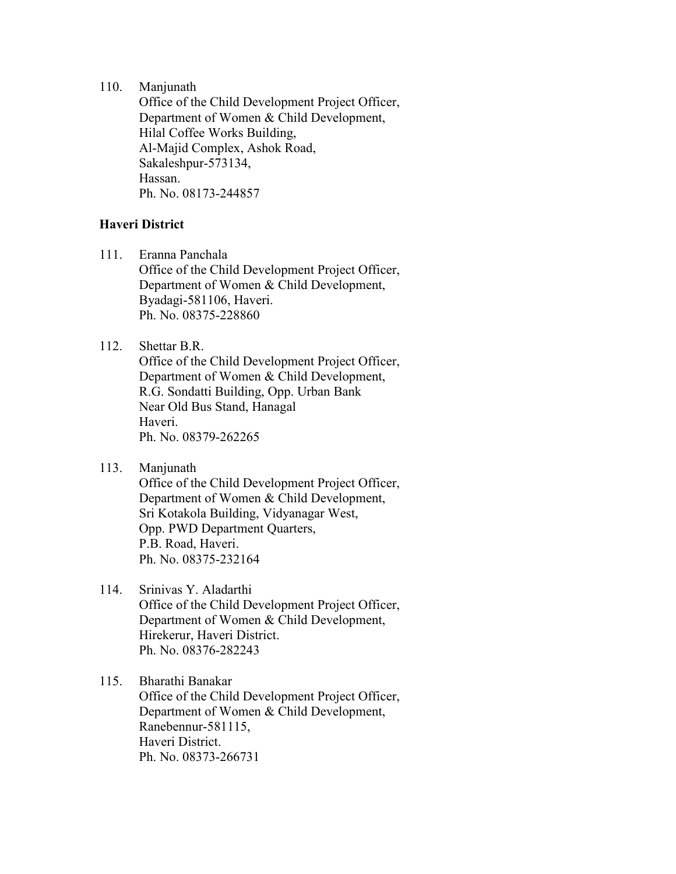110. Manjunath

Office of the Child Development Project Officer, Department of Women & Child Development, Hilal Coffee Works Building, Al-Majid Complex, Ashok Road, Sakaleshpur-573134, Hassan. Ph. No. 08173-244857

#### **Haveri District**

111. Eranna Panchala

Office of the Child Development Project Officer, Department of Women & Child Development, Byadagi-581106, Haveri. Ph. No. 08375-228860

- 112. Shettar B.R.
	- Office of the Child Development Project Officer, Department of Women & Child Development, R.G. Sondatti Building, Opp. Urban Bank Near Old Bus Stand, Hanagal Haveri. Ph. No. 08379-262265
- 113. Manjunath

Office of the Child Development Project Officer, Department of Women & Child Development, Sri Kotakola Building, Vidyanagar West, Opp. PWD Department Quarters, P.B. Road, Haveri. Ph. No. 08375-232164

#### 114. Srinivas Y. Aladarthi

Office of the Child Development Project Officer, Department of Women & Child Development, Hirekerur, Haveri District. Ph. No. 08376-282243

# 115. Bharathi Banakar Office of the Child Development Project Officer, Department of Women & Child Development, Ranebennur-581115, Haveri District. Ph. No. 08373-266731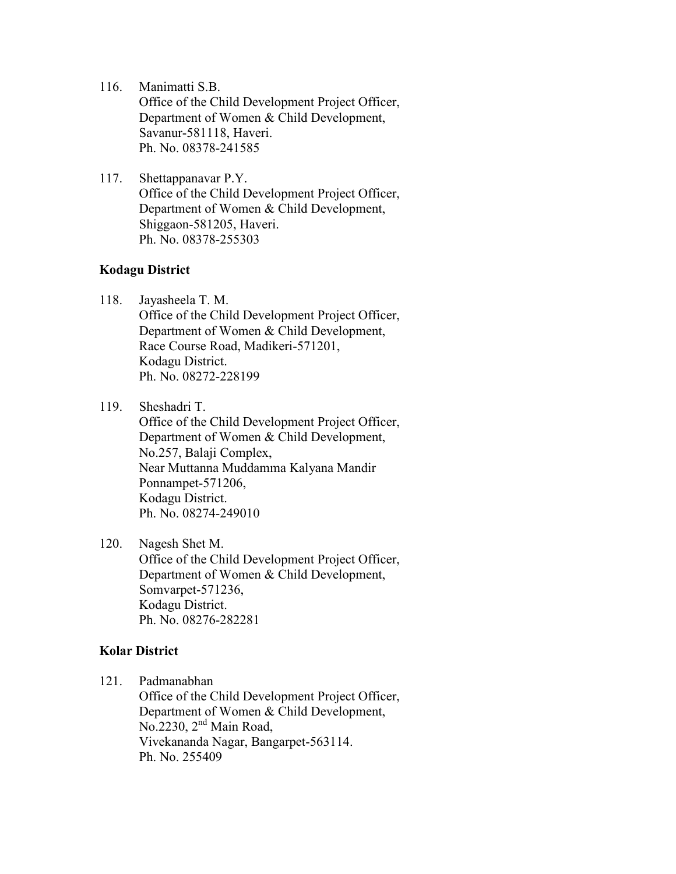- 116. Manimatti S.B. Office of the Child Development Project Officer, Department of Women & Child Development, Savanur-581118, Haveri. Ph. No. 08378-241585
- 117. Shettappanavar P.Y. Office of the Child Development Project Officer, Department of Women & Child Development, Shiggaon-581205, Haveri. Ph. No. 08378-255303

#### **Kodagu District**

- 118. Jayasheela T. M. Office of the Child Development Project Officer, Department of Women & Child Development, Race Course Road, Madikeri-571201, Kodagu District. Ph. No. 08272-228199
- 119. Sheshadri T.

Office of the Child Development Project Officer, Department of Women & Child Development, No.257, Balaji Complex, Near Muttanna Muddamma Kalyana Mandir Ponnampet-571206, Kodagu District. Ph. No. 08274-249010

120. Nagesh Shet M. Office of the Child Development Project Officer, Department of Women & Child Development, Somvarpet-571236, Kodagu District. Ph. No. 08276-282281

# **Kolar District**

121. Padmanabhan

Office of the Child Development Project Officer, Department of Women & Child Development, No.2230, 2<sup>nd</sup> Main Road, Vivekananda Nagar, Bangarpet-563114. Ph. No. 255409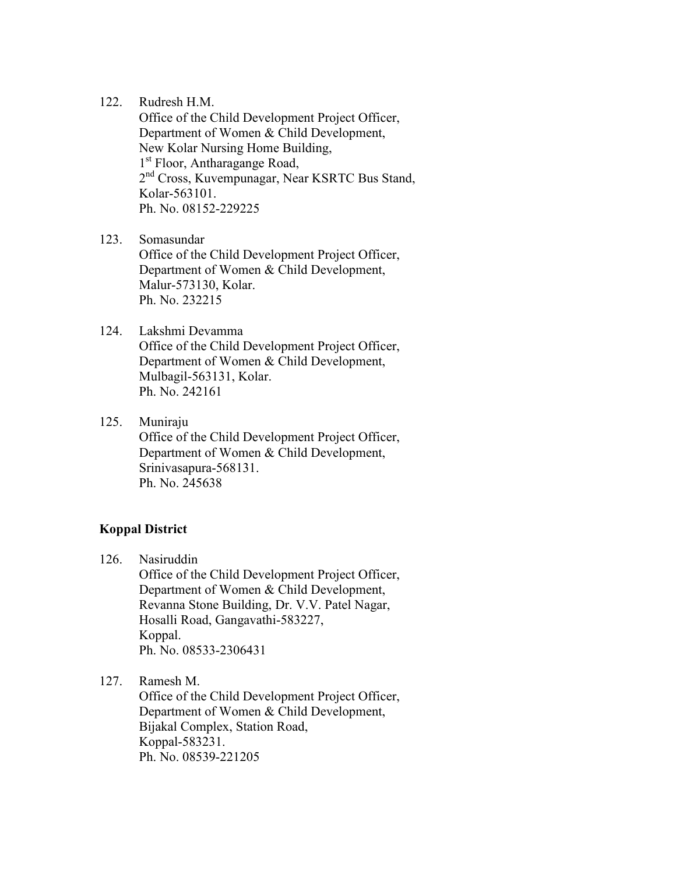122. Rudresh H.M.

Office of the Child Development Project Officer, Department of Women & Child Development, New Kolar Nursing Home Building, 1<sup>st</sup> Floor, Antharagange Road, 2<sup>nd</sup> Cross, Kuvempunagar, Near KSRTC Bus Stand, Kolar-563101. Ph. No. 08152-229225

123. Somasundar Office of the Child Development Project Officer, Department of Women & Child Development, Malur-573130, Kolar. Ph. No. 232215

# 124. Lakshmi Devamma

Office of the Child Development Project Officer, Department of Women & Child Development, Mulbagil-563131, Kolar. Ph. No. 242161

125. Muniraju

Office of the Child Development Project Officer, Department of Women & Child Development, Srinivasapura-568131. Ph. No. 245638

# **Koppal District**

126. Nasiruddin

Office of the Child Development Project Officer, Department of Women & Child Development, Revanna Stone Building, Dr. V.V. Patel Nagar, Hosalli Road, Gangavathi-583227, Koppal. Ph. No. 08533-2306431

127. Ramesh M.

Office of the Child Development Project Officer, Department of Women & Child Development, Bijakal Complex, Station Road, Koppal-583231. Ph. No. 08539-221205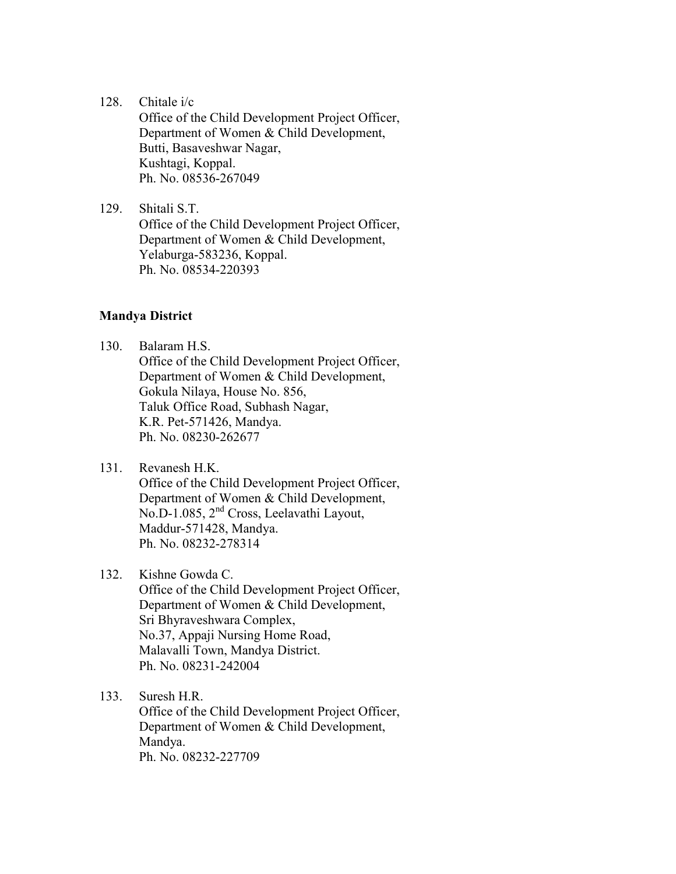128. Chitale i/c

Office of the Child Development Project Officer, Department of Women & Child Development, Butti, Basaveshwar Nagar, Kushtagi, Koppal. Ph. No. 08536-267049

129. Shitali S.T. Office of the Child Development Project Officer, Department of Women & Child Development, Yelaburga-583236, Koppal. Ph. No. 08534-220393

#### **Mandya District**

- 130. Balaram H.S. Office of the Child Development Project Officer, Department of Women & Child Development, Gokula Nilaya, House No. 856, Taluk Office Road, Subhash Nagar, K.R. Pet-571426, Mandya. Ph. No. 08230-262677
- 131. Revanesh H.K. Office of the Child Development Project Officer, Department of Women & Child Development, No.D-1.085, 2nd Cross, Leelavathi Layout, Maddur-571428, Mandya. Ph. No. 08232-278314

#### 132. Kishne Gowda C.

Office of the Child Development Project Officer, Department of Women & Child Development, Sri Bhyraveshwara Complex, No.37, Appaji Nursing Home Road, Malavalli Town, Mandya District. Ph. No. 08231-242004

133. Suresh H.R.

Office of the Child Development Project Officer, Department of Women & Child Development, Mandya. Ph. No. 08232-227709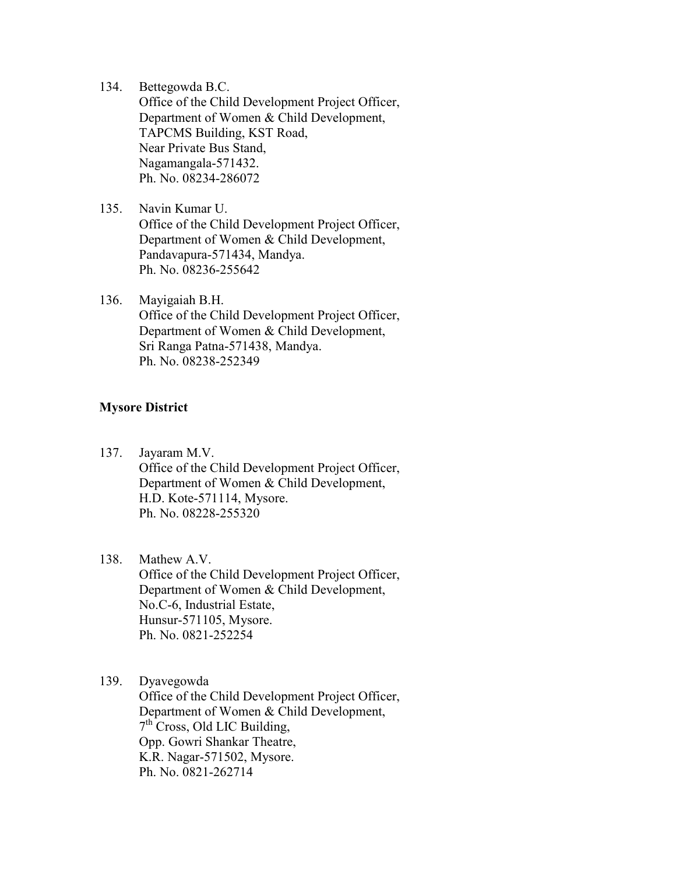134. Bettegowda B.C.

Office of the Child Development Project Officer, Department of Women & Child Development, TAPCMS Building, KST Road, Near Private Bus Stand, Nagamangala-571432. Ph. No. 08234-286072

- 135. Navin Kumar U. Office of the Child Development Project Officer, Department of Women & Child Development, Pandavapura-571434, Mandya. Ph. No. 08236-255642
- 136. Mayigaiah B.H. Office of the Child Development Project Officer, Department of Women & Child Development, Sri Ranga Patna-571438, Mandya. Ph. No. 08238-252349

#### **Mysore District**

137. Jayaram M.V. Office of the Child Development Project Officer, Department of Women & Child Development, H.D. Kote-571114, Mysore. Ph. No. 08228-255320

#### 138. Mathew A.V.

Office of the Child Development Project Officer, Department of Women & Child Development, No.C-6, Industrial Estate, Hunsur-571105, Mysore. Ph. No. 0821-252254

# 139. Dyavegowda

Office of the Child Development Project Officer, Department of Women & Child Development, 7<sup>th</sup> Cross, Old LIC Building, Opp. Gowri Shankar Theatre, K.R. Nagar-571502, Mysore. Ph. No. 0821-262714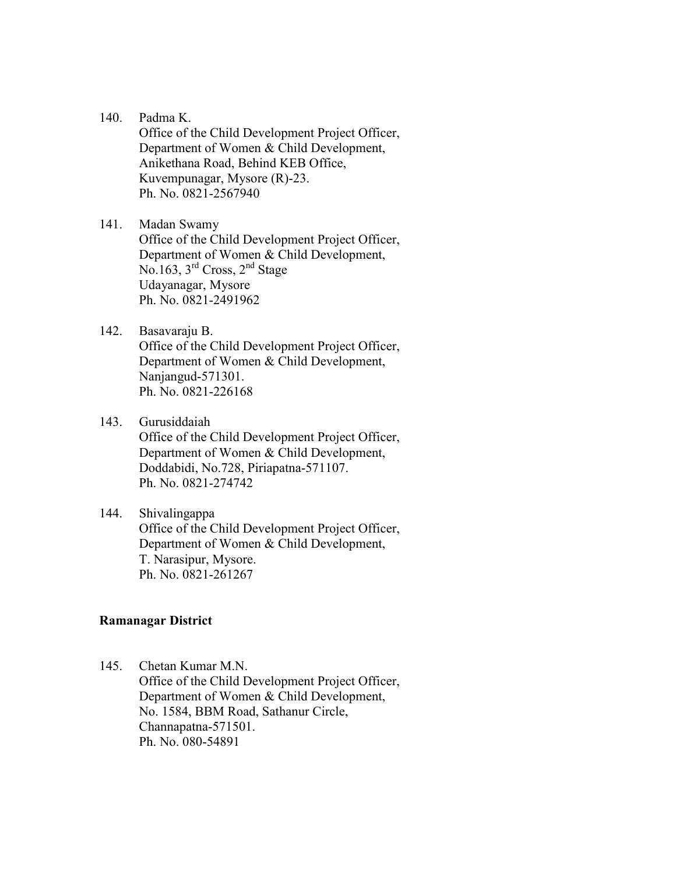140. Padma K.

Office of the Child Development Project Officer, Department of Women & Child Development, Anikethana Road, Behind KEB Office, Kuvempunagar, Mysore (R)-23. Ph. No. 0821-2567940

141. Madan Swamy Office of the Child Development Project Officer, Department of Women & Child Development, No.163,  $3<sup>rd</sup>$  Cross,  $2<sup>nd</sup>$  Stage Udayanagar, Mysore Ph. No. 0821-2491962

142. Basavaraju B. Office of the Child Development Project Officer,

Department of Women & Child Development, Nanjangud-571301. Ph. No. 0821-226168

143. Gurusiddaiah

Office of the Child Development Project Officer, Department of Women & Child Development, Doddabidi, No.728, Piriapatna-571107. Ph. No. 0821-274742

144. Shivalingappa Office of the Child Development Project Officer, Department of Women & Child Development, T. Narasipur, Mysore. Ph. No. 0821-261267

#### **Ramanagar District**

145. Chetan Kumar M.N. Office of the Child Development Project Officer, Department of Women & Child Development, No. 1584, BBM Road, Sathanur Circle, Channapatna-571501. Ph. No. 080-54891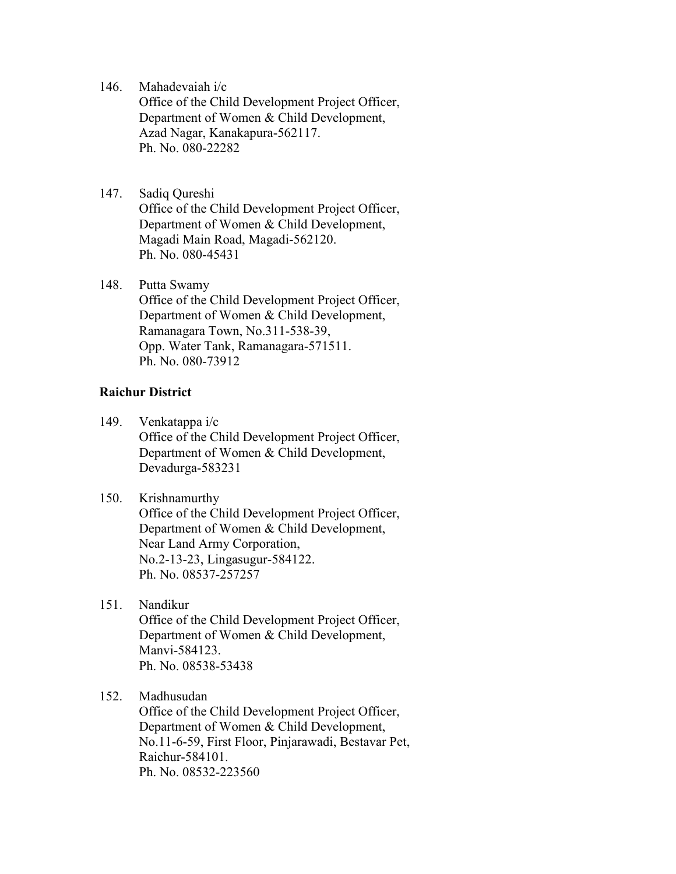146. Mahadevaiah i/c

Office of the Child Development Project Officer, Department of Women & Child Development, Azad Nagar, Kanakapura-562117. Ph. No. 080-22282

- 147. Sadiq Qureshi Office of the Child Development Project Officer, Department of Women & Child Development, Magadi Main Road, Magadi-562120. Ph. No. 080-45431
- 148. Putta Swamy Office of the Child Development Project Officer, Department of Women & Child Development, Ramanagara Town, No.311-538-39, Opp. Water Tank, Ramanagara-571511. Ph. No. 080-73912

#### **Raichur District**

- 149. Venkatappa i/c Office of the Child Development Project Officer, Department of Women & Child Development, Devadurga-583231
- 150. Krishnamurthy Office of the Child Development Project Officer, Department of Women & Child Development, Near Land Army Corporation, No.2-13-23, Lingasugur-584122. Ph. No. 08537-257257
- 151. Nandikur Office of the Child Development Project Officer, Department of Women & Child Development, Manvi-584123. Ph. No. 08538-53438
- 152. Madhusudan

Office of the Child Development Project Officer, Department of Women & Child Development, No.11-6-59, First Floor, Pinjarawadi, Bestavar Pet, Raichur-584101. Ph. No. 08532-223560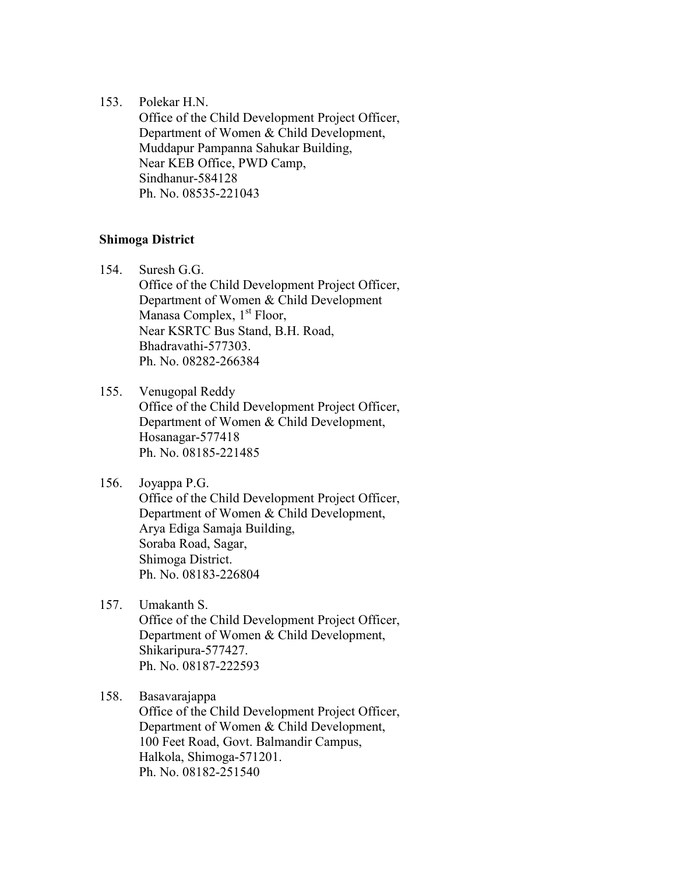#### 153. Polekar H.N.

Office of the Child Development Project Officer, Department of Women & Child Development, Muddapur Pampanna Sahukar Building, Near KEB Office, PWD Camp, Sindhanur-584128 Ph. No. 08535-221043

#### **Shimoga District**

- 154. Suresh G.G. Office of the Child Development Project Officer, Department of Women & Child Development Manasa Complex,  $1<sup>st</sup>$  Floor, Near KSRTC Bus Stand, B.H. Road, Bhadravathi-577303. Ph. No. 08282-266384
- 155. Venugopal Reddy Office of the Child Development Project Officer, Department of Women & Child Development, Hosanagar-577418 Ph. No. 08185-221485
- 156. Joyappa P.G. Office of the Child Development Project Officer, Department of Women & Child Development, Arya Ediga Samaja Building, Soraba Road, Sagar, Shimoga District. Ph. No. 08183-226804
- 157. Umakanth S. Office of the Child Development Project Officer, Department of Women & Child Development, Shikaripura-577427. Ph. No. 08187-222593
- 158. Basavarajappa

Office of the Child Development Project Officer, Department of Women & Child Development, 100 Feet Road, Govt. Balmandir Campus, Halkola, Shimoga-571201. Ph. No. 08182-251540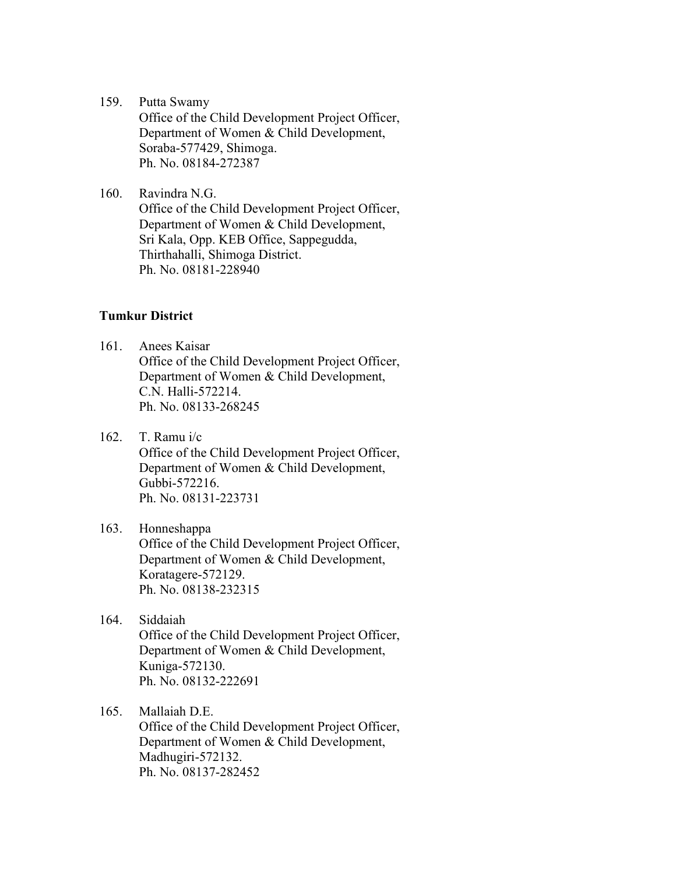- 159. Putta Swamy Office of the Child Development Project Officer, Department of Women & Child Development, Soraba-577429, Shimoga. Ph. No. 08184-272387
- 160. Ravindra N.G. Office of the Child Development Project Officer, Department of Women & Child Development, Sri Kala, Opp. KEB Office, Sappegudda, Thirthahalli, Shimoga District. Ph. No. 08181-228940

#### **Tumkur District**

- 161. Anees Kaisar Office of the Child Development Project Officer, Department of Women & Child Development, C.N. Halli-572214. Ph. No. 08133-268245
- 162. T. Ramu i/c Office of the Child Development Project Officer, Department of Women & Child Development, Gubbi-572216. Ph. No. 08131-223731

# 163. Honneshappa Office of the Child Development Project Officer, Department of Women & Child Development, Koratagere-572129. Ph. No. 08138-232315

- 164. Siddaiah Office of the Child Development Project Officer, Department of Women & Child Development, Kuniga-572130. Ph. No. 08132-222691
- 165. Mallaiah D.E.

Office of the Child Development Project Officer, Department of Women & Child Development, Madhugiri-572132. Ph. No. 08137-282452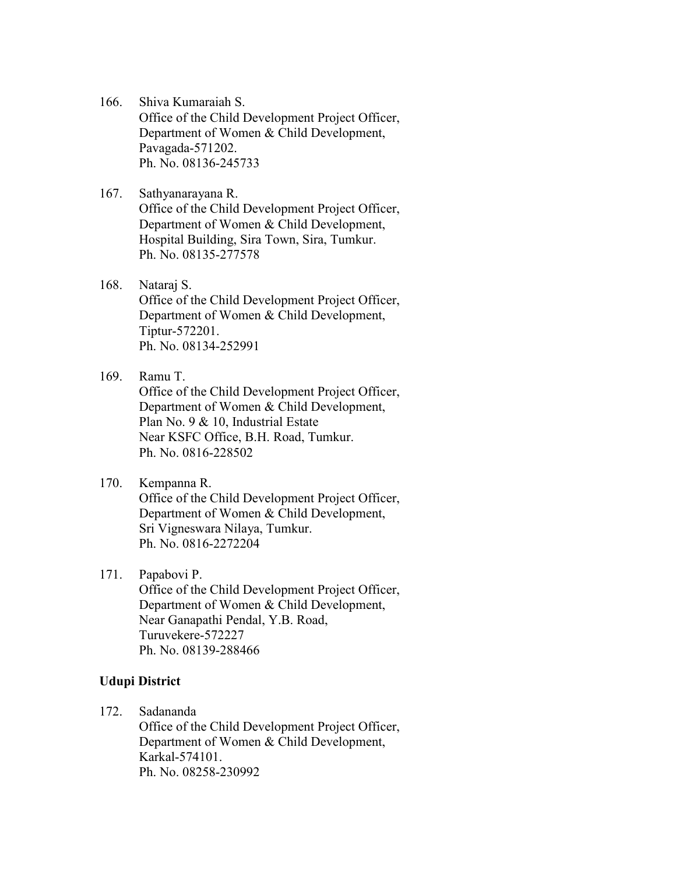- 166. Shiva Kumaraiah S. Office of the Child Development Project Officer, Department of Women & Child Development, Pavagada-571202. Ph. No. 08136-245733
- 167. Sathyanarayana R. Office of the Child Development Project Officer, Department of Women & Child Development, Hospital Building, Sira Town, Sira, Tumkur. Ph. No. 08135-277578
- 168. Nataraj S. Office of the Child Development Project Officer, Department of Women & Child Development, Tiptur-572201. Ph. No. 08134-252991

### 169. Ramu T.

Office of the Child Development Project Officer, Department of Women & Child Development, Plan No. 9 & 10, Industrial Estate Near KSFC Office, B.H. Road, Tumkur. Ph. No. 0816-228502

#### 170. Kempanna R.

Office of the Child Development Project Officer, Department of Women & Child Development, Sri Vigneswara Nilaya, Tumkur. Ph. No. 0816-2272204

#### 171. Papabovi P.

Office of the Child Development Project Officer, Department of Women & Child Development, Near Ganapathi Pendal, Y.B. Road, Turuvekere-572227 Ph. No. 08139-288466

#### **Udupi District**

172. Sadananda

Office of the Child Development Project Officer, Department of Women & Child Development, Karkal-574101. Ph. No. 08258-230992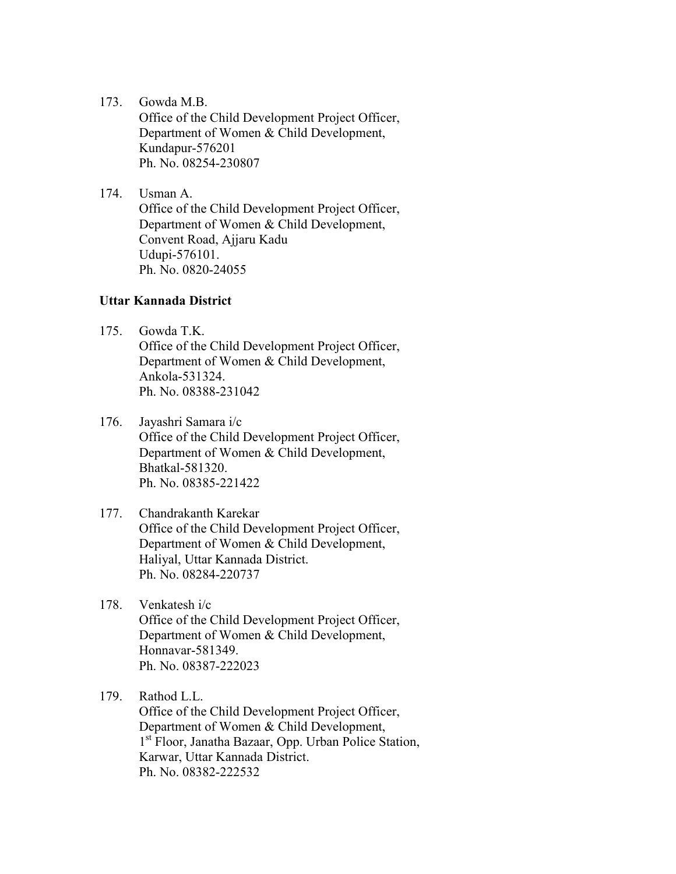173. Gowda M.B.

Office of the Child Development Project Officer, Department of Women & Child Development, Kundapur-576201 Ph. No. 08254-230807

174. Usman A.

Office of the Child Development Project Officer, Department of Women & Child Development, Convent Road, Ajjaru Kadu Udupi-576101. Ph. No. 0820-24055

#### **Uttar Kannada District**

- 175. Gowda T.K. Office of the Child Development Project Officer, Department of Women & Child Development, Ankola-531324. Ph. No. 08388-231042
- 176. Jayashri Samara i/c Office of the Child Development Project Officer, Department of Women & Child Development, Bhatkal-581320. Ph. No. 08385-221422
- 177. Chandrakanth Karekar Office of the Child Development Project Officer, Department of Women & Child Development, Haliyal, Uttar Kannada District. Ph. No. 08284-220737
- 178. Venkatesh i/c Office of the Child Development Project Officer, Department of Women & Child Development, Honnavar-581349. Ph. No. 08387-222023
- 179. Rathod L.L.

Office of the Child Development Project Officer, Department of Women & Child Development, 1<sup>st</sup> Floor, Janatha Bazaar, Opp. Urban Police Station, Karwar, Uttar Kannada District. Ph. No. 08382-222532